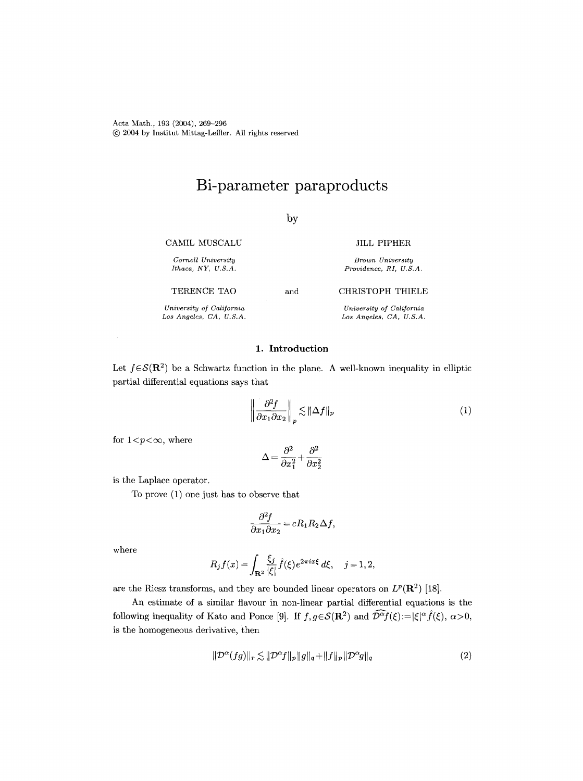Acta Math., 193 (2004), 269-296 (~) 2004 by Institut Mittag-Leffier. All rights reserved

# **Bi-parameter paraproducts**

# by

CAMIL MUSCALU

*Cornell University Ithaca, NY, U.S.A.* 

TERENCE TAO

*University of California Los Angeles, CA, U.S.A.* 

## 1. Introduction

and

Let  $f \in \mathcal{S}(\mathbf{R}^2)$  be a Schwartz function in the plane. A well-known inequality in elliptic partial differential equations says that

$$
\left\| \frac{\partial^2 f}{\partial x_1 \partial x_2} \right\|_p \lesssim \|\Delta f\|_p \tag{1}
$$

JILL PIPHER *Brown University Providence, RI, U.S.A.* 

CHRISTOPH THIELE *University of California Los Angeles, CA, U.S.A.* 

for  $1 < p < \infty$ , where

$$
\Delta=\frac{\partial^2}{\partial x_1^2}+\frac{\partial^2}{\partial x_2^2}
$$

is the Laplace operator.

To prove (1) one just has to observe that

$$
\frac{\partial^2 f}{\partial x_1 \partial x_2} = cR_1 R_2 \Delta f,
$$

where

$$
R_j f(x) = \int_{\mathbf{R}^2} \frac{\xi_j}{|\xi|} \hat{f}(\xi) e^{2\pi i x \xi} d\xi, \quad j = 1, 2,
$$

are the Riesz transforms, and they are bounded linear operators on  $L^p(\mathbf{R}^2)$  [18].

An estimate of a similar flavour in non-linear partial differential equations is the following inequality of Kato and Ponce [9]. If  $f, g \in \mathcal{S}(\mathbf{R}^2)$  and  $\widehat{\mathcal{D}^{\alpha}f}(\xi) := |\xi|^{\alpha} \widehat{f}(\xi), \alpha > 0$ , is the homogeneous derivative, then

$$
\|\mathcal{D}^{\alpha}(fg)\|_{r} \lesssim \|\mathcal{D}^{\alpha}f\|_{p} \|g\|_{q} + \|f\|_{p} \|\mathcal{D}^{\alpha}g\|_{q} \tag{2}
$$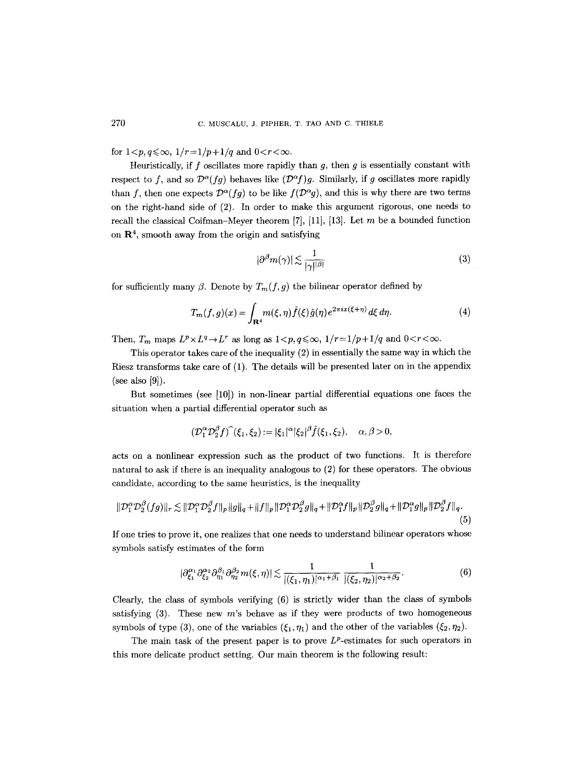# for  $1 < p, q \le \infty$ ,  $1/r = 1/p + 1/q$  and  $0 < r < \infty$ .

Heuristically, if f oscillates more rapidly than  $g$ , then  $g$  is essentially constant with respect to f, and so  $\mathcal{D}^{\alpha}(fg)$  behaves like  $(\mathcal{D}^{\alpha}f)g$ . Similarly, if g oscillates more rapidly than f, then one expects  $\mathcal{D}^{\alpha}(fg)$  to be like  $f(\mathcal{D}^{\alpha}g)$ , and this is why there are two terms on the right-hand side of (2). In order to make this argument rigorous, one needs to recall the classical Coifman-Meyer theorem [7], [11], [13]. Let m be a bounded function on  $\mathbb{R}^4$ , smooth away from the origin and satisfying

$$
|\partial^{\beta}m(\gamma)| \lesssim \frac{1}{|\gamma|^{|\beta|}}\tag{3}
$$

for sufficiently many  $\beta$ . Denote by  $T_m(f, g)$  the bilinear operator defined by

$$
T_m(f,g)(x) = \int_{\mathbf{R}^4} m(\xi,\eta) \hat{f}(\xi) \hat{g}(\eta) e^{2\pi ix(\xi+\eta)} d\xi d\eta.
$$
 (4)

Then,  $T_m$  maps  $L^p \times L^q \to L^r$  as long as  $1 < p, q \leq \infty$ ,  $1/r = 1/p + 1/q$  and  $0 < r < \infty$ .

This operator takes care of the inequality (2) in essentially the same way in which the Riesz transforms take care of (1). The details will be presented later on in the appendix (see also  $[9]$ ).

But sometimes (see [10]) in non-linear partial differential equations one faces the situation when a partial differential operator such as

$$
(\mathcal{D}_1^{\alpha}\mathcal{D}_2^{\beta}f)^{\widehat{}}(\xi_1,\xi_2):=|\xi_1|^{\alpha}|\xi_2|^{\beta}f(\xi_1,\xi_2),\quad \alpha,\beta>0,
$$

acts on a nonlinear expression such as the product of two functions. It is therefore natural to ask if there is an inequality analogous to (2) for these operators. The obvious candidate, according to the same heuristics, is the inequality

$$
\|\mathcal{D}_1^{\alpha}\mathcal{D}_2^{\beta}(fg)\|_r \lesssim \|\mathcal{D}_1^{\alpha}\mathcal{D}_2^{\beta}f\|_p \|g\|_q + \|f\|_p \|\mathcal{D}_1^{\alpha}\mathcal{D}_2^{\beta}g\|_q + \|\mathcal{D}_1^{\alpha}f\|_p \|\mathcal{D}_2^{\beta}g\|_q + \|\mathcal{D}_1^{\alpha}g\|_p \|\mathcal{D}_2^{\beta}f\|_q. \tag{5}
$$

If one tries to prove it, one realizes that one needs to understand bilinear operators whose symbols satisfy estimates of the form

$$
|\partial_{\xi_1}^{\alpha_1} \partial_{\xi_2}^{\alpha_2} \partial_{\eta_1}^{\beta_1} \partial_{\eta_2}^{\beta_2} m(\xi, \eta)| \lesssim \frac{1}{|(\xi_1, \eta_1)|^{\alpha_1 + \beta_1}} \frac{1}{|(\xi_2, \eta_2)|^{\alpha_2 + \beta_2}}.
$$
 (6)

Clearly, the class of symbols verifying (6) is strictly wider than the class of symbols satisfying  $(3)$ . These new m's behave as if they were products of two homogeneous symbols of type (3), one of the variables  $(\xi_1, \eta_1)$  and the other of the variables  $(\xi_2, \eta_2)$ .

The main task of the present paper is to prove  $L^p$ -estimates for such operators in this more delicate product setting. Our main theorem is the following result: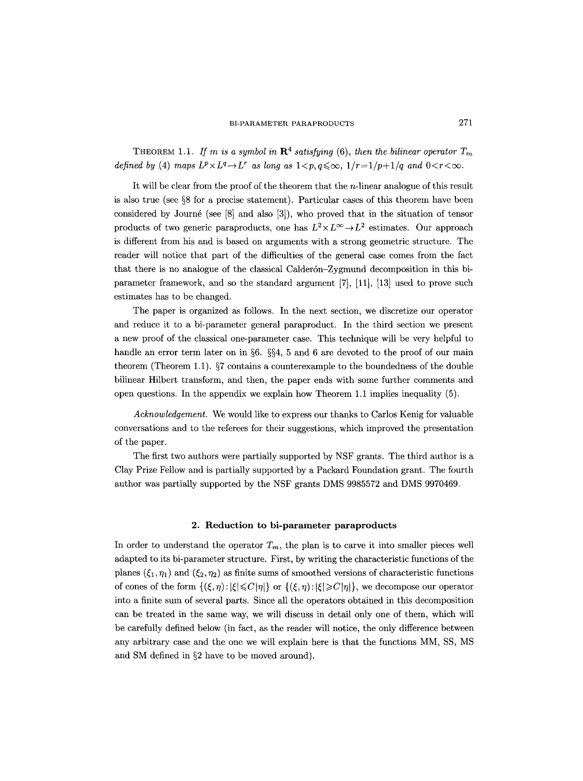THEOREM 1.1. *If m is a symbol in*  $\mathbb{R}^4$  *satisfying* (6), *then the bilinear operator*  $T_m$ *defined by* (4) *maps*  $L^p \times L^q \to L^r$  *as long as*  $1 < p, q \leq \infty$ ,  $1/r = 1/p + 1/q$  *and*  $0 < r < \infty$ .

It will be clear from the proof of the theorem that the n-linear analogue of this result is also true (see  $\S 8$  for a precise statement). Particular cases of this theorem have been considered by Journé (see  $[8]$  and also  $[3]$ ), who proved that in the situation of tensor products of two generic paraproducts, one has  $L^2 \times L^{\infty} \to L^2$  estimates. Our approach is different from his and is based on arguments with a strong geometric structure. The reader will notice that part of the difficulties of the general case comes from the fact that there is no analogue of the classical Calderón-Zygmund decomposition in this biparameter framework, and so the standard argument [7], [11], [13] used to prove such estimates has to be changed.

The paper is organized as follows. In the next section, we discretize our operator and reduce it to a bi-parameter general paraproduct. In the third section we present a new proof of the classical one-parameter case. This technique will be very helpful to handle an error term later on in §6. §§4, 5 and 6 are devoted to the proof of our main theorem (Theorem 1.1).  $\S7$  contains a counterexample to the boundedness of the double bilinear Hilbert transform, and then, the paper ends with some further comments and open questions. In the appendix we explain how Theorem 1.1 implies inequality (5).

*Acknowledgement.* We would like to express our thanks to Carlos Kenig for valuable conversations and to the referees for their suggestions, which improved the presentation of the paper.

The first two authors were partially supported by NSF grants. The third author is a Clay Prize Fellow and is partially supported by a Packard Foundation grant. The fourth author was partially supported by the NSF grants DMS 9985572 and DMS 9970469.

## **2. Reduction to bi-parameter paraproducts**

In order to understand the operator  $T_m$ , the plan is to carve it into smaller pieces well adapted to its bi-parameter structure. First, by writing the characteristic functions of the planes  $({\xi_1}, {\eta_1})$  and  $({\xi_2}, {\eta_2})$  as finite sums of smoothed versions of characteristic functions of cones of the form  $\{(\xi, \eta): |\xi| \leq C|\eta|\}$  or  $\{(\xi, \eta): |\xi| \geq C|\eta|\}$ , we decompose our operator into a finite sum of several parts. Since all the operators obtained in this decomposition can be treated in the same way, we will discuss in detail only one of them, which will be carefully defined below (in fact, as the reader will notice, the only difference between any arbitrary case and the one we will explain here is that the functions MM, SS, MS and SM defined in  $\S2$  have to be moved around).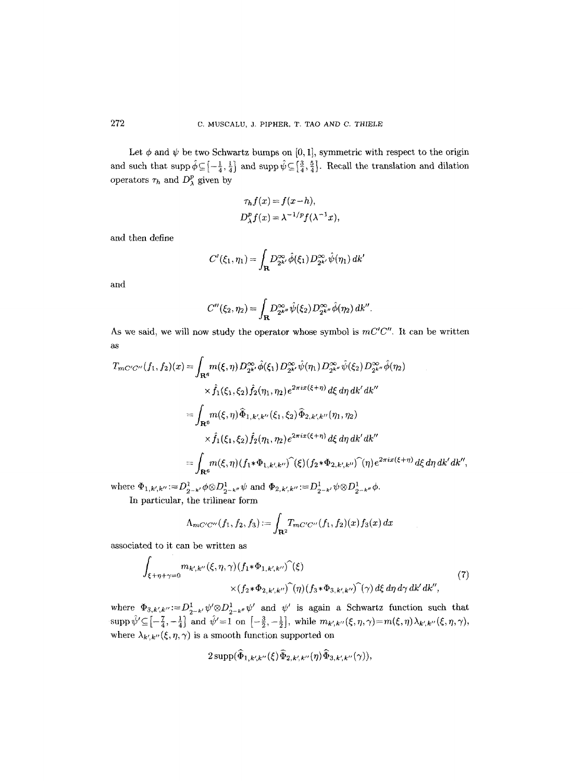Let  $\phi$  and  $\psi$  be two Schwartz bumps on [0, 1], symmetric with respect to the origin and such that supp $\hat{\phi}\subseteq\left[-\frac{1}{4}, \frac{1}{4}\right]$  and supp $\hat{\psi}\subseteq\left[\frac{3}{4}, \frac{5}{4}\right]$ . Recall the translation and dilation operators  $\tau_h$  and  $D_\lambda^p$  given by

$$
\tau_h f(x) = f(x - h),
$$
  

$$
D_{\lambda}^p f(x) = \lambda^{-1/p} f(\lambda^{-1} x),
$$

and then define

$$
C'(\xi_1,\eta_1)=\int_{\mathbf{R}}D^{\infty}_{2^{k'}}\hat{\phi}(\xi_1)D^{\infty}_{2^{k'}}\hat{\psi}(\eta_1)\,dk'
$$

**and** 

$$
C''(\xi_2,\eta_2) = \int_{\mathbf{R}} D^{\infty}_{2^{k''}} \hat{\psi}(\xi_2) D^{\infty}_{2^{k''}} \hat{\phi}(\eta_2) \, dk''.
$$

As we said, we will now study the operator whose symbol is  $mC'C''$ . It can be written  $a<sub>s</sub>$ 

$$
T_{mC'C''}(f_1, f_2)(x) = \int_{\mathbf{R}^6} m(\xi, \eta) D_{2k'}^{\infty} \hat{\phi}(\xi_1) D_{2k'}^{\infty} \hat{\psi}(\eta_1) D_{2k''}^{\infty} \hat{\psi}(\xi_2) D_{2k''}^{\infty} \hat{\phi}(\eta_2)
$$
  

$$
\times \hat{f}_1(\xi_1, \xi_2) \hat{f}_2(\eta_1, \eta_2) e^{2\pi i x (\xi + \eta)} d\xi d\eta d\kappa' d\kappa''
$$
  

$$
= \int_{\mathbf{R}^6} m(\xi, \eta) \hat{\Phi}_{1, k', k''}(\xi_1, \xi_2) \hat{\Phi}_{2, k', k''}(\eta_1, \eta_2)
$$
  

$$
\times \hat{f}_1(\xi_1, \xi_2) \hat{f}_2(\eta_1, \eta_2) e^{2\pi i x (\xi + \eta)} d\xi d\eta d\kappa' d\kappa''
$$
  

$$
= \int_{\mathbf{R}^6} m(\xi, \eta) (f_1 * \Phi_{1, k', k''})^{\hat{}}(\xi) (f_2 * \Phi_{2, k', k''})^{\hat{}}(\eta) e^{2\pi i x (\xi + \eta)} d\xi d\eta d\kappa' d\kappa'',
$$

 $\text{where }\Phi_{1,k',k''}\!:=\!D^1_{2^{-k'}}\phi\!\otimes\! D^1_{2^{-k''}}\psi\text{ and }\Phi_{2,k',k''}\!:=\!D^1_{2^{-k'}}\psi\!\otimes\! D^1_{2^{-k''}}\phi.$ In particular, the trilinear form

$$
\Lambda_{mC'C''}(f_1, f_2, f_3) := \int_{\mathbf{R}^2} T_{mC'C''}(f_1, f_2)(x) f_3(x) dx
$$

associated to it can be written as

$$
\int_{\xi+\eta+\gamma=0} m_{k',k''}(\xi,\eta,\gamma)(f_1*\Phi_{1,k',k''})^{\widehat{}}(\xi)
$$
\n
$$
\times (f_2*\Phi_{2,k',k''})^{\widehat{}}(\eta)(f_3*\Phi_{3,k',k''})^{\widehat{}}(\gamma) d\xi d\eta d\gamma dk'dk'',
$$
\n(7)

where  $\Phi_{3,k',k''} := D^1_{2^{-k'}} \psi' \otimes D^1_{2^{-k''}} \psi'$  and  $\psi'$  is again a Schwartz function such that  $\text{supp }\hat{\psi}' \subseteq \left[-\frac{7}{4},-\frac{1}{4}\right]$  and  $\hat{\psi}'=1$  on  $\left[-\frac{3}{2},-\frac{1}{2}\right]$ , while  $m_{k',k''}(\xi,\eta,\gamma)=m(\xi,\eta)\lambda_{k',k''}(\xi,\eta,\gamma),$ where  $\lambda_{k',k''}(\xi, \eta, \gamma)$  is a smooth function supported on

$$
2 \operatorname{supp}(\widehat{\Phi}_{1,k^{\prime},k^{\prime\prime}}(\xi)\widehat{\Phi}_{2,k^{\prime},k^{\prime\prime}}(\eta)\widehat{\Phi}_{3,k^{\prime},k^{\prime\prime}}(\gamma)),
$$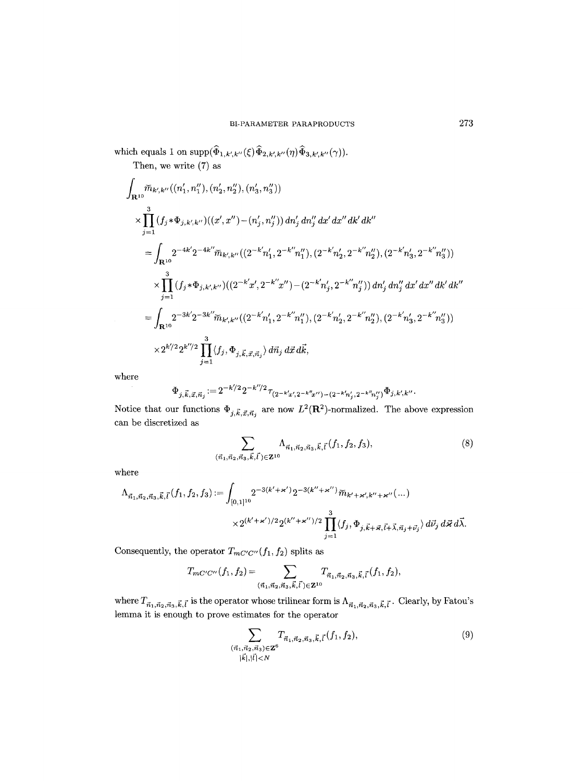which equals 1 on  $\text{supp}(\widehat{\Phi}_{1,k',k''}(\xi)\widehat{\Phi}_{2,k',k''}(\eta)\widehat{\Phi}_{3,k',k''}(\gamma)).$ 

Then, we write (7) as

$$
\int_{\mathbf{R}^{10}} \widetilde{m}_{k',k''}((n'_1, n''_1), (n'_2, n''_2), (n'_3, n''_3))
$$
\n
$$
\times \prod_{j=1}^3 (f_j \ast \Phi_{j,k',k''})((x', x'') - (n'_j, n''_j)) dn'_j dn''_j dx' dx'' dk' dk''
$$
\n
$$
= \int_{\mathbf{R}^{10}} 2^{-4k'} 2^{-4k''} \widetilde{m}_{k',k''}((2^{-k'} n'_1, 2^{-k''} n''_1), (2^{-k'} n'_2, 2^{-k''} n''_2), (2^{-k'} n'_3, 2^{-k''} n''_3))
$$
\n
$$
\times \prod_{j=1}^3 (f_j \ast \Phi_{j,k',k''})((2^{-k'} x', 2^{-k''} x'') - (2^{-k'} n'_j, 2^{-k''} n''_j)) dn'_j dn''_j dx' dx'' dk' dk''
$$
\n
$$
= \int_{\mathbf{R}^{10}} 2^{-3k'} 2^{-3k''} \widetilde{m}_{k',k''}((2^{-k'} n'_1, 2^{-k''} n''_1), (2^{-k'} n'_2, 2^{-k''} n''_2), (2^{-k'} n'_3, 2^{-k''} n''_3))
$$
\n
$$
\times 2^{k''/2} 2^{k''/2} \prod_{j=1}^3 \langle f_j, \Phi_{j,\vec{k},\vec{x},\vec{n}_j} \rangle d\vec{n}_j d\vec{x} d\vec{k},
$$

where

$$
\Phi_{j,\vec{k},\vec{x},\vec{n}_j} := 2^{-k'/2} 2^{-k''/2} \tau_{(2^{-k'}x',2^{-k''}x'')-(2^{-k'}n'_j,2^{-k''}n''_j)} \Phi_{j,k',k''}.
$$

Notice that our functions  $\Phi_{j,\vec{k},\vec{x},\vec{n}_j}$  are now  $L^2(\mathbf{R}^2)$ -normalized. The above expression can be discretized as

$$
\sum_{(\vec{n}_1,\vec{n}_2,\vec{n}_3,\vec{k},\vec{l})\in\mathbf{Z}^{10}} \Lambda_{\vec{n}_1,\vec{n}_2,\vec{n}_3,\vec{k},\vec{l}}(f_1,f_2,f_3),\tag{8}
$$

where

$$
\Lambda_{\vec{n}_1, \vec{n}_2, \vec{n}_3, \vec{k}, \vec{l}}(f_1, f_2, f_3) := \int_{[0,1]^{10}} 2^{-3(k' + \varkappa')} 2^{-3(k'' + \varkappa'')} \widetilde{m}_{k' + \varkappa', k'' + \varkappa''}(\dots) \times 2^{(k' + \varkappa')/2} 2^{(k'' + \varkappa'')/2} \prod_{j=1}^3 \langle f_j, \Phi_{j, \vec{k} + \vec{\varkappa}, \vec{l} + \vec{\lambda}, \vec{n}_j + \vec{\nu}_j} \rangle d\vec{\nu}_j d\vec{\varkappa} d\vec{\lambda}.
$$

Consequently, the operator  $T_{mC'C''}(f_1, f_2)$  splits as

$$
T_{mC'C''}(f_1,f_2) = \sum_{(\vec{n}_1,\vec{n}_2,\vec{n}_3,\vec{k},\vec{l}\,)\in{\bf Z}^{10}} T_{\vec{n}_1,\vec{n}_2,\vec{n}_3,\vec{k},\vec{l}}(f_1,f_2),
$$

where  $T_{\vec{n}_1,\vec{n}_2,\vec{n}_3,\vec{k},\vec{l}}$  is the operator whose trilinear form is  $\Lambda_{\vec{n}_1,\vec{n}_2,\vec{n}_3,\vec{k},\vec{l}}$ . Clearly, by Fatou's lemma it is enough to prove estimates for the operator

$$
\sum_{\substack{(\vec{n}_1, \vec{n}_2, \vec{n}_3) \in \mathbf{Z}^6 \\ |\vec{k}|, |\vec{l}| < N}} T_{\vec{n}_1, \vec{n}_2, \vec{n}_3, \vec{k}, \vec{l}}(f_1, f_2),\tag{9}
$$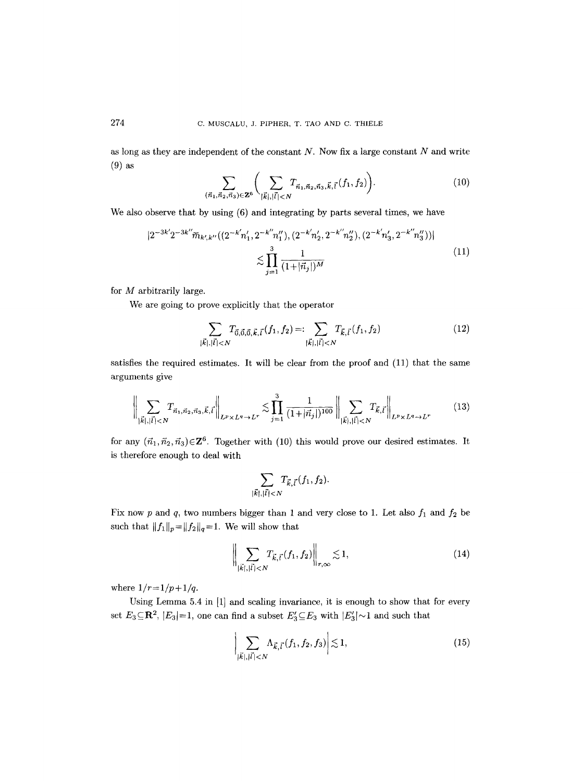as long as they are independent of the constant  $N$ . Now fix a large constant  $N$  and write (9) as

$$
\sum_{(\vec{n}_1,\vec{n}_2,\vec{n}_3)\in\mathbf{Z}^6} \bigg(\sum_{|\vec{k}|,|\vec{l}|
$$

We also observe that by using  $(6)$  and integrating by parts several times, we have

$$
|2^{-3k'}2^{-3k''}\widetilde{m}_{k',k''}((2^{-k'}n'_1,2^{-k''}n''_1),(2^{-k'}n'_2,2^{-k''}n''_2),(2^{-k'}n'_3,2^{-k''}n''_3))|
$$
  

$$
\lesssim \prod_{j=1}^3 \frac{1}{(1+|\vec{n}_j|)^M}
$$
 (11)

for M arbitrarily large.

We are going to prove explicitly that the operator

$$
\sum_{|\vec{k}|,|\vec{l}|(12)
$$

satisfies the required estimates. It will be clear from the proof and (11) that the same arguments give

$$
\left\| \sum_{|\vec{k}|,|\vec{l}| < N} T_{\vec{n}_1, \vec{n}_2, \vec{n}_3, \vec{k}, \vec{l}} \right\|_{L^p \times L^q \to L^r} \lesssim \prod_{j=1}^3 \frac{1}{(1+|\vec{n}_j|)^{100}} \left\| \sum_{|\vec{k}|,|\vec{l}| < N} T_{\vec{k}, \vec{l}} \right\|_{L^p \times L^q \to L^r}
$$
(13)

for any  $(\vec{n}_1,\vec{n}_2,\vec{n}_3)\in \mathbb{Z}^6$ . Together with (10) this would prove our desired estimates. It **is** therefore enough to deal with

$$
\sum_{|\vec{k}|,|\vec{l}| < N} T_{\vec{k},\vec{l}}(f_1,f_2).
$$

Fix now p and q, two numbers bigger than 1 and very close to 1. Let also  $f_1$  and  $f_2$  be such that  $\|f_1\|_p\!=\!\|f_2\|_q\!=\!1.$  We will show that

$$
\left\| \sum_{|\vec{k}|, |\vec{l}| < N} T_{\vec{k}, \vec{l}}(f_1, f_2) \right\|_{r, \infty} \lesssim 1,\tag{14}
$$

where  $1/r = 1/p + 1/q$ .

Using Lemma 5.4 in [1] and scaling invariance, it is enough to show that for every set  $E_3 \subseteq \mathbb{R}^2$ ,  $|E_3|=1$ , one can find a subset  $E'_3 \subseteq E_3$  with  $|E'_3| \sim 1$  and such that

$$
\left| \sum_{|\vec{k}|, |\vec{l}| < N} \Lambda_{\vec{k}, \vec{l}}(f_1, f_2, f_3) \right| \lesssim 1,\tag{15}
$$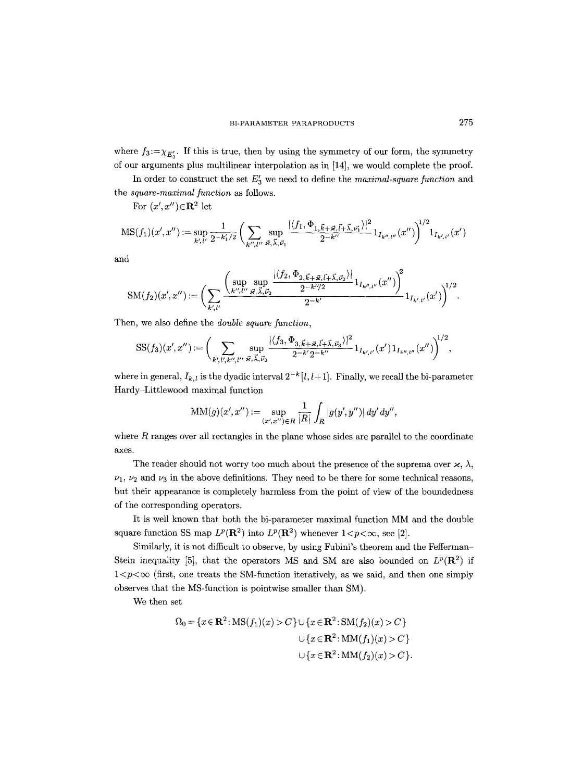where  $f_3:=\chi_{E_2}$ . If this is true, then by using the symmetry of our form, the symmetry of our arguments plus multilinear interpolation as in [14], we would complete the proof.

In order to construct the set  $E'_{3}$  we need to define the *maximal-square function* and the *square-maximal function as* follows.

For  $(x', x'') \in \mathbb{R}^2$  let

$$
\mathrm{MS}(f_1)(x',x'')\!:=\!\sup_{k',\ell'}\frac{1}{2^{-k_1'/2}}\,\bigg(\sum_{k'',\ell''}\sup_{\vec{\varkappa},\vec{\lambda},\vec{\nu}_1}\frac{|\langle f_1,\Phi_{1,\vec{k}+\vec{\varkappa},\vec{l}+\vec{\lambda},\vec{\nu_1}}\rangle|^2}{2^{-k''}}\,\mathbf{1}_{I_{k'',\ell''}}(x'')\bigg)^{\!\!1/2}\,\mathbf{1}_{I_{k',\ell'}}(x')
$$

and

$$
\mathrm{SM}(f_2)(x',x'') := \bigg( \sum_{k',l'} \frac{ \bigg( \sup_{k'',l''} \sup_{\vec{\varkappa},\vec{\lambda},\vec{\nu}_2} \frac{|\langle f_2, \Phi_{2,\vec{k}+\vec{\varkappa},\vec{l}+\vec{\lambda},\vec{\nu}_2}\rangle|}{2^{-k''/2}} \mathbf{1}_{I_{k'',l''}}(x'') \bigg)^2}{2^{-k'}} \mathbf{1}_{I_{k',l'}}(x') \bigg)^{\!1/2}.
$$

Then, we also define the *double square function,* 

$$
SS(f_3)(x',x'') := \bigg( \sum_{k',l',k'',l''} \sup_{\vec{\varkappa},\vec{\lambda},\vec{\nu}_3} \frac{|\langle f_3, \Phi_{3,\vec{k}+\vec{\varkappa},\vec{l}+\vec{\lambda},\vec{\nu}_3}\rangle|^2}{2^{-k'}2^{-k''}} 1_{I_{k',l'}}(x') 1_{I_{k'',l''}}(x'') \bigg)^{1/2},
$$

where in general,  $I_{k,l}$  is the dyadic interval  $2^{-k} [l, l+1]$ . Finally, we recall the bi-parameter Hardy-Littlewood maximal function

$$
\mathrm{MM}(g)(x', x'') \,{:=}\, \sup_{(x', x'') \in R} \frac{1}{|R|} \int_R |g(y', y'')| \, dy' \, dy'',
$$

where  $R$  ranges over all rectangles in the plane whose sides are parallel to the coordinate axes.

The reader should not worry too much about the presence of the suprema over  $\varkappa$ ,  $\lambda$ ,  $\nu_1$ ,  $\nu_2$  and  $\nu_3$  in the above definitions. They need to be there for some technical reasons, but their appearance is completely harmless from the point of view of the boundedness of the corresponding operators.

It is well known that both the bi-parameter maximal function MM and the double square function SS map  $L^p(\mathbf{R}^2)$  into  $L^p(\mathbf{R}^2)$  whenever  $1 < p < \infty$ , see [2].

Similarly, it is not difficult to observe, by using Fubini's theorem and the Fefferman-Stein inequality [5], that the operators MS and SM are also bounded on  $L^p(\mathbb{R}^2)$  if  $1 < p < \infty$  (first, one treats the SM-function iteratively, as we said, and then one simply observes that the MS-function is pointwise smaller than SM).

We then set

$$
\Omega_0 = \{x \in \mathbf{R}^2 : MS(f_1)(x) > C\} \cup \{x \in \mathbf{R}^2 : SM(f_2)(x) > C\}
$$
  

$$
\cup \{x \in \mathbf{R}^2 : MM(f_1)(x) > C\}
$$
  

$$
\cup \{x \in \mathbf{R}^2 : MM(f_2)(x) > C\}.
$$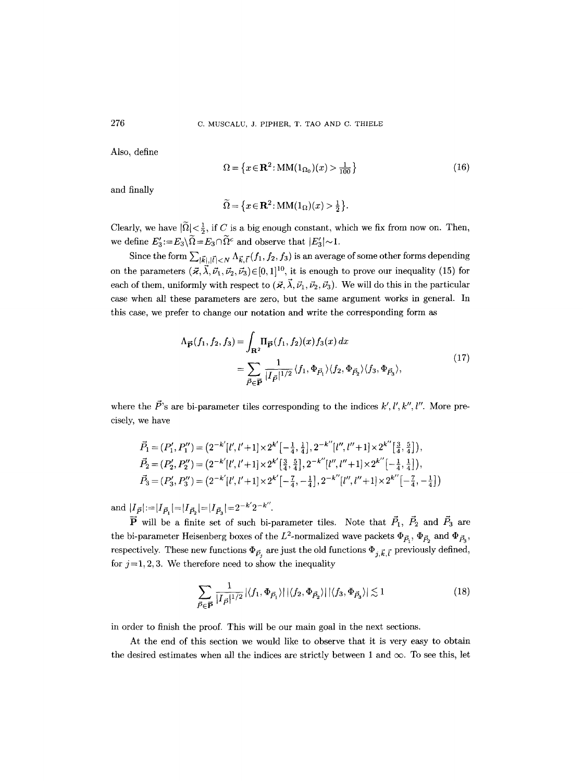Also, define

$$
\Omega = \left\{ x \in \mathbf{R}^2 : \text{MM}(1_{\Omega_0})(x) > \frac{1}{100} \right\} \tag{16}
$$

and finally

$$
\widetilde{\Omega} = \{x \in \mathbf{R}^2 \colon \mathbf{MM}(1_{\Omega})(x) > \frac{1}{2}\}.
$$

Clearly, we have  $|\tilde{\Omega}| < \frac{1}{2}$ , if C is a big enough constant, which we fix from now on. Then, we define  $E_3:=E_3\setminus \tilde{\Omega}=E_3\cap \tilde{\Omega}^c$  and observe that  $|E_3'|\sim 1$ .

Since the form  $\sum_{|\vec{k}|, |\vec{l}| < N} \Lambda_{\vec{k}, \vec{l}}(f_1, f_2, f_3)$  is an average of some other forms depending on the parameters  $(\vec{x}, \vec{\lambda}, \vec{\nu}_1, \vec{\nu}_2, \vec{\nu}_3) \in [0, 1]^{10}$ , it is enough to prove our inequality (15) for each of them, uniformly with respect to  $(\vec{x}, \vec{\lambda}, \vec{\nu}_1, \vec{\nu}_2, \vec{\nu}_3)$ . We will do this in the particular case when all these parameters are zero, but the same argument works in general. In this case, we prefer to change our notation and write the corresponding form as

$$
\Lambda_{\vec{P}}(f_1, f_2, f_3) = \int_{\mathbf{R}^2} \Pi_{\vec{P}}(f_1, f_2)(x) f_3(x) dx
$$
  
= 
$$
\sum_{\vec{P} \in \vec{P}} \frac{1}{|I_{\vec{P}}|^{1/2}} \langle f_1, \Phi_{\vec{P}_1} \rangle \langle f_2, \Phi_{\vec{P}_2} \rangle \langle f_3, \Phi_{\vec{P}_3} \rangle,
$$
 (17)

where the  $\vec{P}$ 's are bi-parameter tiles corresponding to the indices k', l', k'', l''. More precisely, we have

$$
\begin{split} \vec{P_1} &= (P_1', P_1'') = \left(2^{-k'}[l', l'+1] \times 2^{k'}[-\frac{1}{4}, \frac{1}{4}], 2^{-k''}[l'', l''+1] \times 2^{k''}[\frac{3}{4}, \frac{5}{4}]\right), \\ \vec{P_2} &= (P_2', P_2'') = \left(2^{-k'}[l', l'+1] \times 2^{k'}[\frac{3}{4}, \frac{5}{4}], 2^{-k''}[l'', l''+1] \times 2^{k''}[-\frac{1}{4}, \frac{1}{4}]\right), \\ \vec{P_3} &= (P_3', P_3'') = \left(2^{-k'}[l', l'+1] \times 2^{k'}[-\frac{7}{4}, -\frac{1}{4}], 2^{-k''}[l'', l''+1] \times 2^{k''}[-\frac{7}{4}, -\frac{1}{4}]\right) \end{split}
$$

and  $|I_{\vec{P}}| = |I_{\vec{P}_1}| = |I_{\vec{P}_2}| = |I_{\vec{P}_3}| = 2^{-k'} 2^{-k''}.$ 

 $\vec{P}$  will be a finite set of such bi-parameter tiles. Note that  $\vec{P}_1$ ,  $\vec{P}_2$  and  $\vec{P}_3$  are the bi-parameter Heisenberg boxes of the  $L^2$ -normalized wave packets  $\Phi_{\vec{P}_1}$ ,  $\Phi_{\vec{P}_2}$  and  $\Phi_{\vec{P}_3}$ , respectively. These new functions  $\Phi_{\vec{P}_i}$  are just the old functions  $\Phi_{j,\vec{k},\vec{l}}$  previously defined, for  $j=1, 2, 3$ . We therefore need to show the inequality

$$
\sum_{\vec{P}\in\vec{\mathbf{P}}} \frac{1}{|I_{\vec{P}}|^{1/2}} |\langle f_1, \Phi_{\vec{P}_1} \rangle| |\langle f_2, \Phi_{\vec{P}_2} \rangle| |\langle f_3, \Phi_{\vec{P}_3} \rangle| \lesssim 1
$$
\n(18)

in order to finish the proof. This will be our main goal in the next sections.

At the end of this section we would like to observe that it is very easy to obtain the desired estimates when all the indices are strictly between 1 and  $\infty$ . To see this, let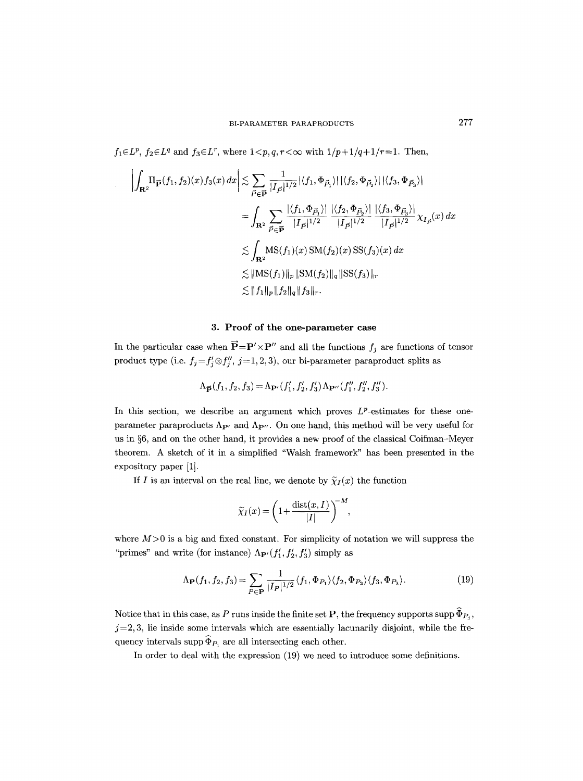*f*<sub>1</sub> $\in L^p$ , *f*<sub>2</sub> $\in L^q$  and *f*<sub>3</sub> $\in L^r$ , where  $1 < p, q, r < \infty$  with  $1/p + 1/q + 1/r = 1$ . Then,

$$
\left| \int_{\mathbf{R}^2} \Pi_{\vec{P}}(f_1, f_2)(x) f_3(x) dx \right| \lesssim \sum_{\vec{P} \in \vec{\mathbf{P}}} \frac{1}{|I_{\vec{P}}|^{1/2}} |\langle f_1, \Phi_{\vec{P}_1} \rangle| |\langle f_2, \Phi_{\vec{P}_2} \rangle| |\langle f_3, \Phi_{\vec{P}_3} \rangle|
$$
  
\n
$$
= \int_{\mathbf{R}^2} \sum_{\vec{P} \in \vec{\mathbf{P}}} \frac{|\langle f_1, \Phi_{\vec{P}_1} \rangle|}{|I_{\vec{P}}|^{1/2}} \frac{|\langle f_2, \Phi_{\vec{P}_2} \rangle|}{|I_{\vec{P}}|^{1/2}} \frac{|\langle f_3, \Phi_{\vec{P}_3} \rangle|}{|I_{\vec{P}}|^{1/2}} \chi_{I_{\vec{P}}}(x) dx
$$
  
\n
$$
\lesssim \int_{\mathbf{R}^2} \text{MS}(f_1)(x) \text{SM}(f_2)(x) \text{SS}(f_3)(x) dx
$$
  
\n
$$
\lesssim ||\text{MS}(f_1)||_p ||\text{SM}(f_2)||_q ||\text{SS}(f_3)||_r
$$
  
\n
$$
\lesssim ||f_1||_p ||f_2||_q ||f_3||_r.
$$

## **3. Proof of the one-parameter case**

In the particular case when  $\vec{P} = P' \times P''$  and all the functions *f<sub>j</sub>* are functions of tensor product type (i.e.  $f_j = f'_j \otimes f''_j$ ,  $j = 1, 2, 3$ ), our bi-parameter paraproduct splits as

$$
\Lambda_{\vec{P}}(f_1, f_2, f_3) = \Lambda_{\mathbf{P}'}(f'_1, f'_2, f'_3) \Lambda_{\mathbf{P}''}(f''_1, f''_2, f''_3).
$$

In this section, we describe an argument which proves  $L^p$ -estimates for these oneparameter paraproducts  $\Lambda_{\mathbf{P}'}$  and  $\Lambda_{\mathbf{P}''}$ . On one hand, this method will be very useful for us in  $\S6$ , and on the other hand, it provides a new proof of the classical Coifman-Meyer theorem. A sketch of it in a simplified "Walsh framework" has been presented in the expository paper [1].

If I is an interval on the real line, we denote by  $\widetilde{\chi}_I(x)$  the function

$$
\widetilde{\chi}_I(x) = \left(1 + \frac{\text{dist}(x, I)}{|I|}\right)^{-M},
$$

where  $M>0$  is a big and fixed constant. For simplicity of notation we will suppress the "primes" and write (for instance)  $\Lambda_{\mathbf{P}'}(f'_1, f'_2, f'_3)$  simply as

$$
\Lambda_{\mathbf{P}}(f_1, f_2, f_3) = \sum_{P \in \mathbf{P}} \frac{1}{|I_P|^{1/2}} \langle f_1, \Phi_{P_1} \rangle \langle f_2, \Phi_{P_2} \rangle \langle f_3, \Phi_{P_3} \rangle. \tag{19}
$$

Notice that in this case, as P runs inside the finite set P, the frequency supports supp  $\widehat{\Phi}_{P_i}$ ,  $j=2, 3$ , lie inside some intervals which are essentially lacunarily disjoint, while the frequency intervals supp  $\widehat{\Phi}_{P_1}$  are all intersecting each other.

In order to deal with the expression (19) we need to introduce some definitions.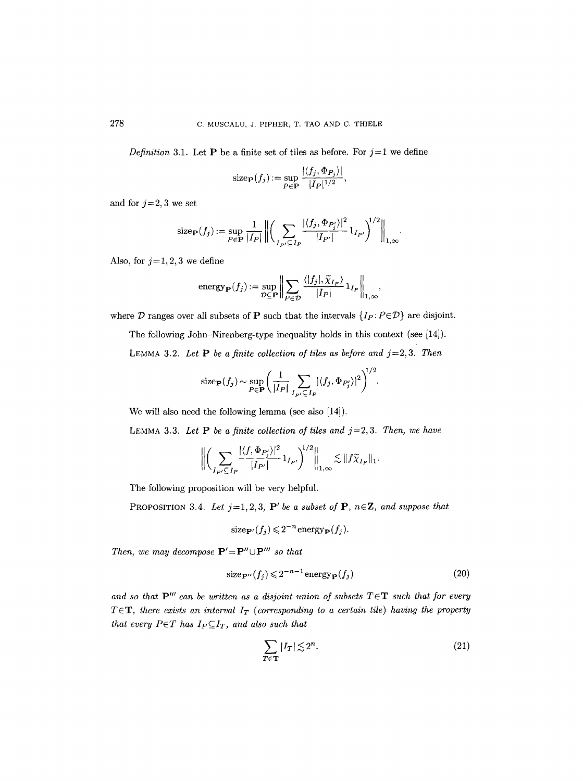*Definition* 3.1. Let **P** be a finite set of tiles as before. For  $j=1$  we define

size<sub>P</sub>
$$
(f_j) := \sup_{P \in \mathbf{P}} \frac{|\langle f_j, \Phi_{P_j} \rangle|}{|I_P|^{1/2}},
$$

and for  $j=2,3$  we set

size<sub>P</sub>(f<sub>j</sub>) := sup<sub>P\in</sub> 
$$
\frac{1}{|I_P|} \left\| \left( \sum_{I_{P'} \subseteq I_P} \frac{|\langle f_j, \Phi_{P'_j} \rangle|^2}{|I_{P'}|} 1_{I_{P'}} \right)^{1/2} \right\|_{1,\infty}.
$$

Also, for  $j=1, 2, 3$  we define

energy
$$
energy_{\mathbf{P}}(f_j) := \sup_{\mathcal{D} \subseteq \mathbf{P}} \left\| \sum_{P \in \mathcal{D}} \frac{\langle |f_j|, \widetilde{\chi}_{I_P} \rangle}{|I_P|} 1_{I_P} \right\|_{1,\infty},
$$

where D ranges over all subsets of P such that the intervals  $\{I_P : P \in \mathcal{D}\}\)$  are disjoint.

The following John-Nirenberg-type inequality holds in this context (see [14]).

LEMMA 3.2. Let  $P$  be a finite collection of tiles as before and  $j=2,3$ . Then

size<sub>P</sub>(f<sub>j</sub>) ~ 
$$
\sim
$$
 sup<sub>P\in</sub>  $\left( \frac{1}{|I_P|} \sum_{I_{P'} \subseteq I_P} |\langle f_j, \Phi_{P'_j} \rangle|^2 \right)^{1/2}$ .

We will also need the following lemma (see also [14]).

LEMMA 3.3. Let  $P$  be a finite collection of tiles and  $j=2,3$ . Then, we have

$$
\bigg\|\bigg(\sum_{I_{P'}\subseteq I_P}\frac{|\langle f,\Phi_{P'_j}\rangle|^2}{|I_{P'}|}\mathbf{1}_{I_{P'}}\bigg)^{1/2}\bigg\|_{1,\infty}\lesssim \|f\widetilde{\chi}_{I_P}\|_1.
$$

The following proposition will be very helpful.

PROPOSITION 3.4. Let  $j=1,2,3$ , P' be a subset of P,  $n \in \mathbb{Z}$ , and suppose that

size<sub>**P**'</sub>
$$
(f_j)
$$
  $\leq$  2<sup>-n</sup>energy<sub>**P**</sub> $(f_j)$ .

*Then, we may decompose*  $P' = P'' \cup P'''$  *so that* 

$$
\text{size}_{\mathbf{P}''}(f_j) \leq 2^{-n-1}\,\text{energy}_{\mathbf{P}}(f_j) \tag{20}
$$

and so that  $P'''$  can be written as a disjoint union of subsets  $T \in T$  such that for every  $T \in \mathbf{T}$ , there exists an interval  $I_T$  (corresponding to a certain tile) having the property  $that\ every\ P{\in}{\cal T}$  has  $I_P{\subseteq}I_T,$  and also such that

$$
\sum_{T \in \mathbf{T}} |I_T| \lesssim 2^n. \tag{21}
$$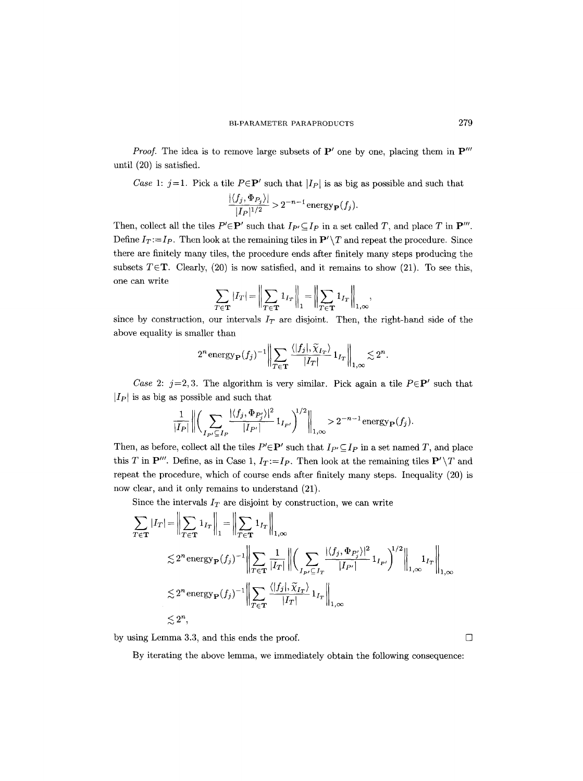*Proof.* The idea is to remove large subsets of  $P'$  one by one, placing them in  $P'''$ until (20) is satisfied.

*Case* 1:  $j=1$ . Pick a tile  $P \in \mathbf{P}'$  such that  $|I_P|$  is as big as possible and such that

$$
\frac{|\langle f_j, \Phi_{P_j} \rangle|}{|I_P|^{1/2}} > 2^{-n-1} \text{energy}_{\mathbf{P}}(f_j).
$$

Then, collect all the tiles  $P' \in \mathbf{P}'$  such that  $I_{P'} \subseteq I_P$  in a set called T, and place T in  $\mathbf{P}'''$ . Define  $I_T := I_P$ . Then look at the remaining tiles in  $\mathbf{P}' \setminus T$  and repeat the procedure. Since there are finitely many tiles, the procedure ends after finitely many steps producing the subsets  $T \in \mathbf{T}$ . Clearly, (20) is now satisfied, and it remains to show (21). To see this, one can write

$$
\sum_{T \in \mathbf{T}} |I_T| = \left\| \sum_{T \in \mathbf{T}} 1_{I_T} \right\|_1 = \left\| \sum_{T \in \mathbf{T}} 1_{I_T} \right\|_{1,\infty},
$$

since by construction, our intervals  $I_T$  are disjoint. Then, the right-hand side of the above equality is smaller than

$$
2^n \text{energy}_{\mathbf{P}}(f_j)^{-1} \left\| \sum_{T \in \mathbf{T}} \frac{\langle |f_j|, \widetilde{\chi}_{I_T} \rangle}{|I_T|} 1_{I_T} \right\|_{1,\infty} \lesssim 2^n.
$$

*Case 2:*  $j=2,3$ . The algorithm is very similar. Pick again a tile  $P \in \mathbf{P}'$  such that  $|I_P|$  is as big as possible and such that

$$
\frac{1}{|I_P|} \left\| \left( \sum_{I_{P'} \subseteq I_P} \frac{|\langle f_j, \Phi_{P'_j} \rangle|^2}{|I_{P'}|} 1_{I_{P'}} \right)^{1/2} \right\|_{1,\infty} > 2^{-n-1} \text{energy}_{\mathbf{P}}(f_j).
$$

Then, as before, collect all the tiles  $P' \in \mathbf{P}'$  such that  $I_{P'} \subseteq I_P$  in a set named T, and place this T in  $\mathbf{P}'''$ . Define, as in Case 1,  $I_T:=I_P$ . Then look at the remaining tiles  $\mathbf{P}'\setminus T$  and repeat the procedure, which of course ends after finitely many steps. Inequality (20) is now clear, and it only remains to understand (21).

Since the intervals  $I_T$  are disjoint by construction, we can write

$$
\sum_{T \in \mathbf{T}} |I_T| = \left\| \sum_{T \in \mathbf{T}} 1_{I_T} \right\|_1 = \left\| \sum_{T \in \mathbf{T}} 1_{I_T} \right\|_{1,\infty}
$$
\n
$$
\lesssim 2^n \operatorname{energy}_{\mathbf{P}}(f_j)^{-1} \left\| \sum_{T \in \mathbf{T}} \frac{1}{|I_T|} \right\| \left( \sum_{I_{P'} \subseteq I_T} \frac{|\langle f_j, \Phi_{P'_j} \rangle|^2}{|I_{P'}|} 1_{I_{P'}} \right)^{1/2} \Big\|_{1,\infty}
$$
\n
$$
\lesssim 2^n \operatorname{energy}_{\mathbf{P}}(f_j)^{-1} \left\| \sum_{T \in \mathbf{T}} \frac{\langle |f_j|, \tilde{\chi}_{I_T} \rangle}{|I_T|} 1_{I_T} \right\|_{1,\infty}
$$
\n
$$
\lesssim 2^n,
$$

by using Lemma 3.3, and this ends the proof.  $\Box$ 

By iterating the above lemma, we immediately obtain the following consequence: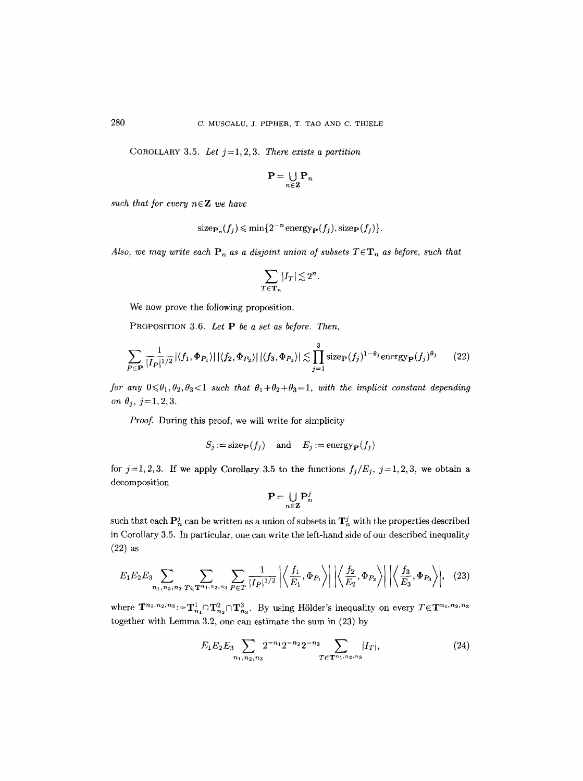COROLLARY 3.5. Let  $j=1, 2, 3$ . *There exists a partition* 

$$
\mathbf{P} = \bigcup_{n \in \mathbf{Z}} \mathbf{P}_n
$$

such that for every  $n \in \mathbb{Z}$  we have

size<sub>**P**<sub>n</sub></sub>
$$
(f_j)
$$
  $\leq$  min{2<sup>-n</sup>energy<sub>**P**</sub> $(f_j)$ , size<sub>**P**</sub> $(f_j)$ }.

*Also, we may write each*  $P_n$  *as a disjoint union of subsets*  $T \in T_n$  *as before, such that* 

$$
\sum_{T\in{\bf T}_n}|I_T|\lesssim 2^n.
$$

We now prove the following proposition.

PROPOSITION 3.6. *Let P be a set as before. Then,* 

$$
\sum_{P \in \mathbf{P}} \frac{1}{|I_P|^{1/2}} |\langle f_1, \Phi_{P_1} \rangle| |\langle f_2, \Phi_{P_2} \rangle| |\langle f_3, \Phi_{P_3} \rangle| \lesssim \prod_{j=1}^3 \text{size}_{\mathbf{P}}(f_j)^{1-\theta_j} \text{energy}_{\mathbf{P}}(f_j)^{\theta_j} \qquad (22)
$$

*for any*  $0 \le \theta_1, \theta_2, \theta_3 < 1$  *such that*  $\theta_1 + \theta_2 + \theta_3 = 1$ *, with the implicit constant depending on*  $\theta_j$ ,  $j=1,2,3$ .

*Proof.* During this proof, we will write for simplicity

$$
S_j := \text{size}_{\mathbf{P}}(f_j) \quad \text{ and } \quad E_j := \text{energy}_{\mathbf{P}}(f_j)
$$

for  $j=1,2,3$ . If we apply Corollary 3.5 to the functions  $f_j/E_j$ ,  $j=1,2,3$ , we obtain a decomposition

$$
\mathbf{P} = \bigcup_{n \in \mathbf{Z}} \mathbf{P}_n^j
$$

such that each  $P_n^j$  can be written as a union of subsets in  $T_n^j$  with the properties described in Corollary 3.5. In particular, one can write the left-hand side of our described inequality  $(22)$  as

$$
E_1 E_2 E_3 \sum_{n_1, n_2, n_3} \sum_{T \in \mathbf{T}^{n_1, n_2, n_3}} \sum_{P \in T} \frac{1}{|I_P|^{1/2}} \left| \left\langle \frac{f_1}{E_1}, \Phi_{P_1} \right\rangle \right| \left| \left\langle \frac{f_2}{E_2}, \Phi_{P_2} \right\rangle \right| \left| \left\langle \frac{f_3}{E_3}, \Phi_{P_3} \right\rangle \right|, (23)
$$

where  $\mathbf{T}^{n_1,n_2,n_3} := \mathbf{T}_{n_1}^1 \cap \mathbf{T}_{n_2}^2 \cap \mathbf{T}_{n_3}^3$ . By using Hölder's inequality on every  $T \in \mathbf{T}^{n_1,n_2,n_3}$ together with Lemma 3.2, one can estimate the sum in (23) by

$$
E_1 E_2 E_3 \sum_{n_1, n_2, n_3} 2^{-n_1} 2^{-n_2} 2^{-n_3} \sum_{T \in \mathbf{T}^{n_1, n_2, n_3}} |I_T|, \tag{24}
$$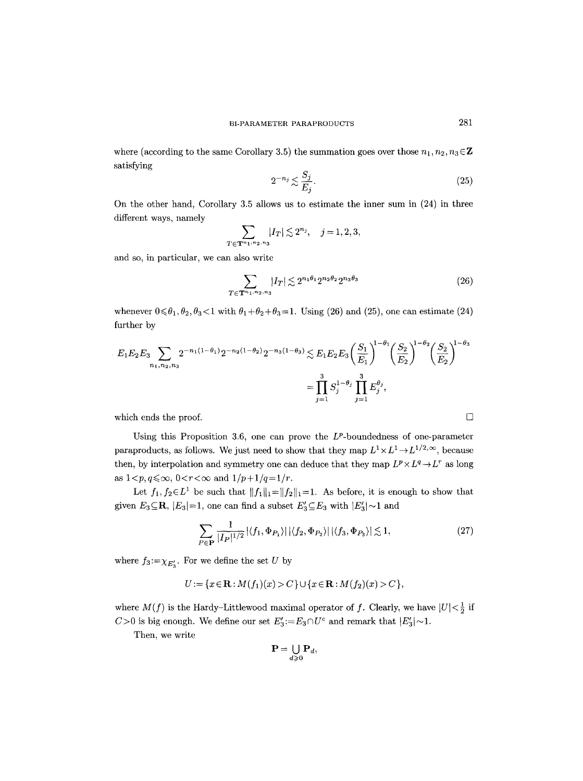where (according to the same Corollary 3.5) the summation goes over those  $n_1, n_2, n_3 \in \mathbb{Z}$ satisfying

$$
2^{-n_j} \lesssim \frac{S_j}{E_j}.\tag{25}
$$

On the other hand, Corollary 3.5 allows us to estimate the inner sum in (24) in three different ways, namely

$$
\sum_{T \in \mathbf{T}^{n_1, n_2, n_3}} |I_T| \lesssim 2^{n_j}, \quad j = 1, 2, 3,
$$

and so, in particular, we can also write

$$
\sum_{T \in \mathbf{T}^{n_1, n_2, n_3}} |I_T| \lesssim 2^{n_1 \theta_1} 2^{n_2 \theta_2} 2^{n_3 \theta_3} \tag{26}
$$

whenever  $0 \le \theta_1, \theta_2, \theta_3 < 1$  with  $\theta_1 + \theta_2 + \theta_3 = 1$ . Using (26) and (25), one can estimate (24) further by

$$
E_1 E_2 E_3 \sum_{n_1, n_2, n_3} 2^{-n_1(1-\theta_1)} 2^{-n_2(1-\theta_2)} 2^{-n_3(1-\theta_3)} \lesssim E_1 E_2 E_3 \left(\frac{S_1}{E_1}\right)^{1-\theta_1} \left(\frac{S_2}{E_2}\right)^{1-\theta_2} \left(\frac{S_2}{E_2}\right)^{1-\theta_3}
$$

$$
= \prod_{j=1}^3 S_j^{1-\theta_j} \prod_{j=1}^3 E_j^{\theta_j},
$$

which ends the proof.  $\Box$ 

Using this Proposition 3.6, one can prove the  $L^p$ -boundedness of one-parameter paraproducts, as follows. We just need to show that they map  $L^1 \times L^1 \to L^{1/2,\infty}$ , because then, by interpolation and symmetry one can deduce that they map  $L^p \times L^q \to L^r$  as long as  $1 < p, q \le \infty$ ,  $0 < r < \infty$  and  $1/p+1/q=1/r$ .

Let  $f_1, f_2 \in L^1$  be such that  $||f_1||_1=||f_2||_1=1$ . As before, it is enough to show that given  $E_3 \subseteq \mathbb{R}$ ,  $|E_3|=1$ , one can find a subset  $E'_3 \subseteq E_3$  with  $|E'_3| \sim 1$  and

$$
\sum_{P \in \mathbf{P}} \frac{1}{|I_P|^{1/2}} |\langle f_1, \Phi_{P_1} \rangle| |\langle f_2, \Phi_{P_2} \rangle| |\langle f_3, \Phi_{P_3} \rangle| \lesssim 1, \tag{27}
$$

where  $f_3:=\chi_{E'_3}$ . For we define the set U by

$$
U := \{x \in \mathbf{R} : M(f_1)(x) > C\} \cup \{x \in \mathbf{R} : M(f_2)(x) > C\},\
$$

where  $M(f)$  is the Hardy-Littlewood maximal operator of f. Clearly, we have  $|U|<\frac{1}{2}$  if C>0 is big enough. We define our set  $E_3 := E_3 \cap U^c$  and remark that  $|E_3'| \sim 1$ .

Then, we write

$$
\mathbf{P}=\bigcup_{d\geqslant 0}\mathbf{P}_d,
$$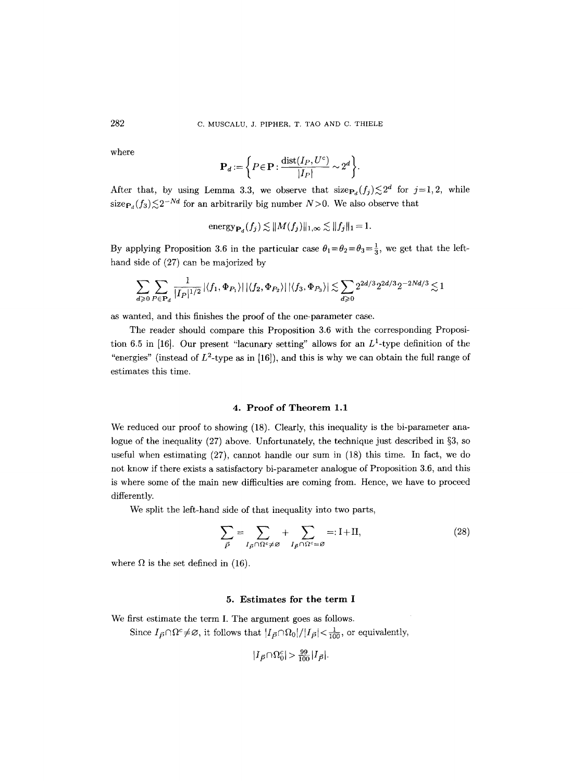where

$$
\mathbf{P}_d := \left\{ P \in \mathbf{P} : \frac{\text{dist}(I_P, U^c)}{|I_P|} \sim 2^d \right\}.
$$

After that, by using Lemma 3.3, we observe that  $size_{P_d}(f_j) \leq 2^a$  for  $j=1,2$ , while  $size_{\mathbf{P}_d}(f_3) \lesssim 2^{-N\alpha}$  for an arbitrarily big number  $N > 0$ . We also observe that

$$
energy_{\mathbf{P}_d}(f_j) \lesssim ||M(f_j)||_{1,\infty} \lesssim ||f_j||_1 = 1.
$$

By applying Proposition 3.6 in the particular case  $\theta_1 = \theta_2 = \theta_3 = \frac{1}{3}$ , we get that the lefthand side of (27) can be majorized by

$$
\sum_{d \geqslant 0} \sum_{P \in {\bf P}_d} \frac{1}{|I_P|^{1/2}} |\langle f_1, \Phi_{P_1} \rangle| \, |\langle f_2, \Phi_{P_2} \rangle| \, |\langle f_3, \Phi_{P_3} \rangle| \lesssim \sum_{d \geqslant 0} 2^{2d/3} 2^{2d/3} 2^{-2Nd/3} \lesssim 1
$$

as wanted, and this finishes the proof of the one-parameter case.

The reader should compare this Proposition 3.6 with the corresponding Proposition 6.5 in [16]. Our present "lacunary setting" allows for an  $L^1$ -type definition of the "energies" (instead of  $L^2$ -type as in [16]), and this is why we can obtain the full range of estimates this time.

## 4. Proof of Theorem 1.1

We reduced our proof to showing (18). Clearly, this inequality is the bi-parameter analogue of the inequality  $(27)$  above. Unfortunately, the technique just described in §3, so useful when estimating (27), cannot handle our sum in (18) this time. In fact, we do not know if there exists a satisfactory bi-parameter analogue of Proposition 3.6, and this is where some of the main new difficulties are coming from. Hence, we have to proceed differently.

We split the left-hand side of that inequality into two parts,

$$
\sum_{\vec{P}} = \sum_{I_{\vec{P}} \cap \Omega^c \neq \varnothing} + \sum_{I_{\vec{P}} \cap \Omega^c = \varnothing} =: \mathbf{I} + \mathbf{II},\tag{28}
$$

where  $\Omega$  is the set defined in (16).

# 5. Estimates for the term I

We first estimate the term I. The argument goes as follows. Since  $I_{\vec{P}} \cap \Omega^c \neq \emptyset$ , it follows that  $|I_{\vec{P}} \cap \Omega_0|/|I_{\vec{P}}| < \frac{1}{100}$ , or equivalently,

$$
|I_{\vec{P}} \cap \Omega_0^c| > \frac{99}{100} |I_{\vec{P}}|.
$$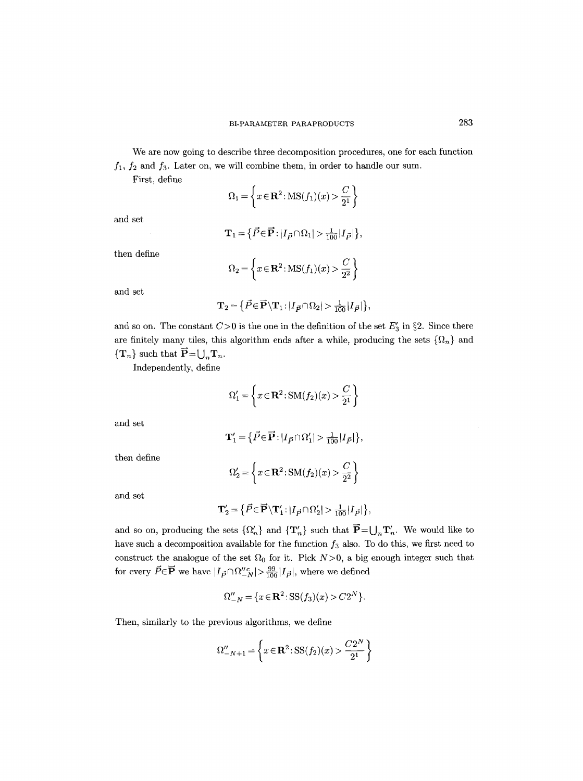We are now going to describe three decomposition procedures, one for each function  $f_1$ ,  $f_2$  and  $f_3$ . Later on, we will combine them, in order to handle our sum.

First, define

$$
\Omega_1 = \left\{ x \in \mathbf{R}^2 : MS(f_1)(x) > \frac{C}{2^1} \right\}
$$

and set

$$
\mathbf{T}_1 = \left\{ \vec{P} \in \mathbf{\vec{P}} : |I_{\vec{P}} \cap \Omega_1| > \frac{1}{100} |I_{\vec{P}}| \right\},\
$$

then define

$$
\Omega_2 = \left\{ x \in \mathbf{R}^2 : MS(f_1)(x) > \frac{C}{2^2} \right\}
$$

and set

$$
\mathbf{T}_2 = \left\{ \vec{P} \in \mathbf{\vec{P}} \backslash \mathbf{T}_1 : |I_{\vec{P}} \cap \Omega_2| > \frac{1}{100} |I_{\vec{P}}| \right\},\
$$

and so on. The constant  $C>0$  is the one in the definition of the set  $E'_{3}$  in §2. Since there are finitely many tiles, this algorithm ends after a while, producing the sets  $\{\Omega_n\}$  and  $\{T_n\}$  such that  $\vec{P} = \bigcup_n T_n$ .

Independently, define

$$
\Omega_1' = \left\{ x \in \mathbf{R}^2 \colon \mathrm{SM}(f_2)(x) > \frac{C}{2^1} \right\}
$$

and set

$$
\mathbf{T}_1' = \left\{ \vec{P} \in \mathbf{\vec{P}} : |I_{\vec{P}} \cap \Omega_1'| > \frac{1}{100} |I_{\vec{P}}| \right\},\
$$

then define

$$
\Omega_2' = \left\{ x \in \mathbf{R}^2 \colon \mathrm{SM}(f_2)(x) > \frac{C}{2^2} \right\}
$$

and set

$$
\mathbf{T}_2' = \left\{ \vec{P} \in \overrightarrow{\mathbf{P}} \backslash \mathbf{T}_1' : |I_{\vec{P}} \cap \Omega_2'| > \frac{1}{100} |I_{\vec{P}}| \right\},\
$$

and so on, producing the sets  $\{\Omega'_n\}$  and  $\{\mathbf{T}'_n\}$  such that  $\vec{P}=\bigcup_n \mathbf{T}'_n$ . We would like to have such a decomposition available for the function  $f_3$  also. To do this, we first need to construct the analogue of the set  $\Omega_0$  for it. Pick  $N>0$ , a big enough integer such that for every  $\vec{P}{\in}\overrightarrow{\mathbf{P}}$  we have  $|I_{\vec{P}}{\cap}\Omega_{-N}''|^>\frac{99}{100}|I_{\vec{P}}|,$  where we defined

$$
\Omega_{-N}'' = \{ x \in \mathbf{R}^2 \colon S S(f_3)(x) > C 2^N \}.
$$

Then, similarly to the previous algorithms, we define

$$
\Omega_{-N+1}'' = \left\{ x \in \mathbf{R}^2 : SS(f_2)(x) > \frac{C2^N}{2^1} \right\}
$$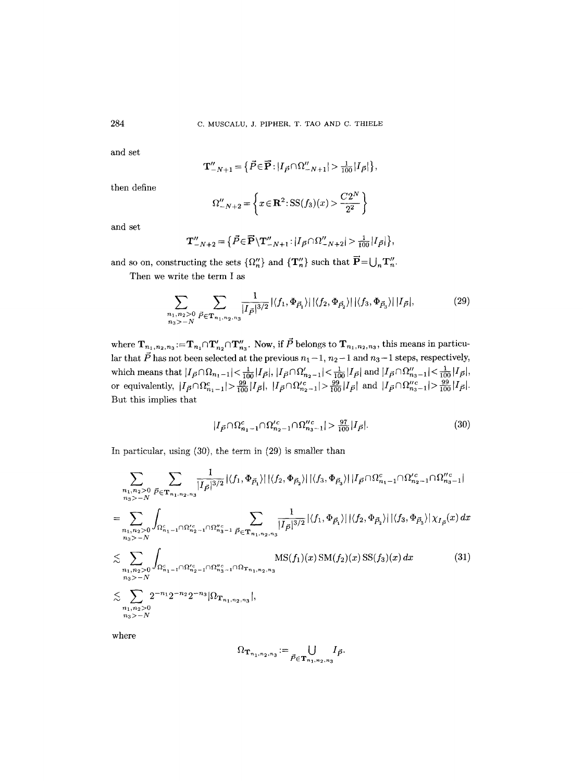**and set** 

$$
\mathbf{T}_{-N+1}'' = \left\{ \vec{P} \in \mathbf{\vec{P}} : |I_{\vec{P}} \cap \Omega_{-N+1}''| > \frac{1}{100} |I_{\vec{P}}| \right\},\
$$

**then define** 

$$
\Omega_{-N+2}'' = \left\{ x \in \mathbf{R}^2 : SS(f_3)(x) > \frac{C2^N}{2^2} \right\}
$$

**and set** 

$$
\mathbf{T}_{-N+2}'' = \left\{ \vec{P} \in \vec{\mathbf{P}} \setminus \mathbf{T}_{-N+1}'' : |I_{\vec{P}} \cap \Omega_{-N+2}''| > \frac{1}{100} |I_{\vec{P}}| \right\},\
$$

and so on, constructing the sets  $\{\Omega''_n\}$  and  $\{\mathbf{T}''_n\}$  such that  $\vec{\mathbf{P}} = \bigcup_n \mathbf{T}''_n$ .

**Then we write the term I as** 

$$
\sum_{\substack{n_1, n_2 > 0 \\ n_3 > -N}} \sum_{\vec{P} \in \mathbf{T}_{n_1, n_2, n_3}} \frac{1}{|I_{\vec{P}}|^{3/2}} |\langle f_1, \Phi_{\vec{P}_1} \rangle| |\langle f_2, \Phi_{\vec{P}_2} \rangle| |\langle f_3, \Phi_{\vec{P}_3} \rangle| |I_{\vec{P}}|, \tag{29}
$$

where  $\mathbf{T}_{n_1, n_2, n_3} := \mathbf{T}_{n_1} \cap \mathbf{T}'_{n_2} \cap \mathbf{T}''_{n_3}$ . Now, if P belongs to  $\mathbf{T}_{n_1, n_2, n_3}$ , this means in particular that  $\vec{P}$  has not been selected at the previous  $n_1 - 1$ ,  $n_2 - 1$  and  $n_3 - 1$  steps, respectively,  $\text{which means that } |I_{\vec{P}} \cap \Omega_{n_1-1}| < \frac{1}{100} |I_{\vec{P}}|, |I_{\vec{P}} \cap \Omega'_{n_2-1}| < \frac{1}{100} |I_{\vec{P}}| \text{ and } |I_{\vec{P}} \cap \Omega''_{n_3-1}| < \frac{1}{100}$ or equivalently,  $|I_{\vec{P}} \cap \Omega_{n_1-1}^c| > \frac{99}{100} |I_{\vec{P}}|$ ,  $|I_{\vec{P}} \cap \Omega_{n_2-1}^{\prime c}| > \frac{99}{100} |I_{\vec{P}}|$  and  $|I_{\vec{P}} \cap \Omega_{n_3-1}^{\prime c}| > \frac{99}{100} |I_{\vec{P}}|$ . **But this implies that** 

$$
|I_{\vec{P}} \cap \Omega_{n_1-1}^c \cap \Omega_{n_2-1}^{\prime c} \cap \Omega_{n_3-1}^{\prime \prime c}| > \frac{97}{100} |I_{\vec{P}}|.
$$
 (30)

**In particular, using (30), the term in (29) is smaller than** 

$$
\sum_{\substack{n_1, n_2>0 \\ n_3>-N}} \sum_{\vec{P} \in \mathbf{T}_{n_1, n_2, n_3}} \frac{1}{|I_{\vec{P}}|^{3/2}} |\langle f_1, \Phi_{\vec{P}_1} \rangle| |\langle f_2, \Phi_{\vec{P}_2} \rangle| |\langle f_3, \Phi_{\vec{P}_3} \rangle| |I_{\vec{P}} \cap \Omega_{n_1-1}^c \cap \Omega_{n_2-1}^{\prime c} \cap \Omega_{n_3-1}^{\prime c}|
$$
\n
$$
= \sum_{\substack{n_1, n_2>0 \\ n_3>-N}} \int_{\Omega_{n_1-1}^c \cap \Omega_{n_2-1}^{\prime c} \cap \Omega_{n_3-1}^{\prime c} \atop n_3>-N} \sum_{\vec{P} \in \mathbf{T}_{n_1, n_2, n_3}} \frac{1}{|I_{\vec{P}}|^{3/2}} |\langle f_1, \Phi_{\vec{P}_1} \rangle| |\langle f_2, \Phi_{\vec{P}_2} \rangle| |\langle f_3, \Phi_{\vec{P}_3} \rangle| \chi_{I_{\vec{P}}} (x) dx
$$
\n
$$
\lesssim \sum_{\substack{n_1, n_2>0 \\ n_3>-N}} \int_{\Omega_{n_1-1}^c \cap \Omega_{n_2-1}^{\prime c} \cap \Omega_{n_3-1}^{\prime c} \cap \Omega_{n_3-1} \cap \Omega_{n_1, n_2, n_3} \cap \Omega_{n_3-1}} \text{MS}(f_1)(x) \, \text{SM}(f_2)(x) \, \text{SS}(f_3)(x) dx \tag{31}
$$
\n
$$
\lesssim \sum_{\substack{n_1, n_2>0 \\ n_3>-N}} 2^{-n_1} 2^{-n_2} 2^{-n_3} |\Omega_{\mathbf{T}_{n_1, n_2, n_3}}|,
$$

**where** 

$$
\Omega_{\mathbf{T}_{n_1,n_2,n_3}}:=\bigcup_{\vec{P}\in \mathbf{T}_{n_1,n_2,n_3}}I_{\vec{P}}.
$$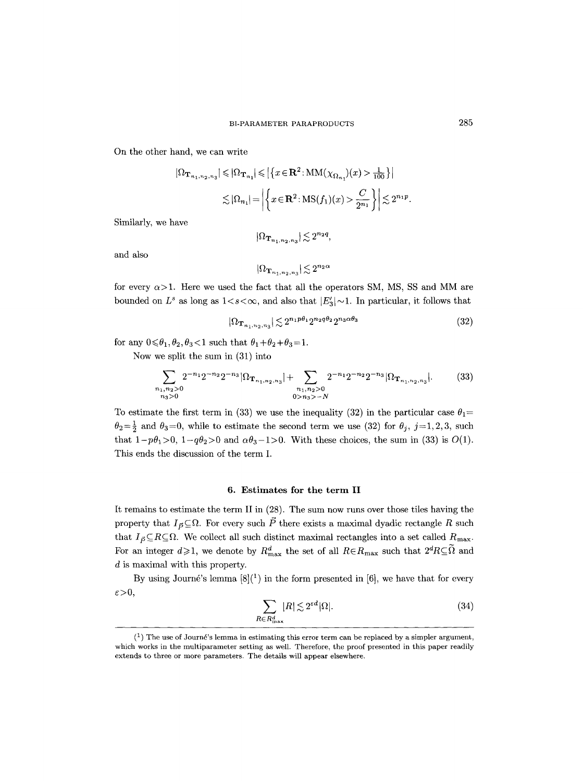On the other hand, we can write

$$
|\Omega_{\mathbf{T}_{n_1,n_2,n_3}}| \leqslant |\Omega_{\mathbf{T}_{n_1}}| \leqslant \left| \left\{ x \in \mathbf{R}^2 \colon MM(\chi_{\Omega_{n_1}})(x) > \frac{1}{100} \right\} \right|
$$
  

$$
\lesssim |\Omega_{n_1}| = \left| \left\{ x \in \mathbf{R}^2 \colon MS(f_1)(x) > \frac{C}{2^{n_1}} \right\} \right| \lesssim 2^{n_1 p}.
$$

Similarly, we have

$$
|\Omega_{\mathbf{T}_{n_1,n_2,n_3}}|\!\lesssim\! 2^{n_2q},
$$

and also

$$
|\Omega_{\mathbf{T}_{n_1,n_2,n_3}}| \lesssim 2^{n_2 \alpha}
$$

for every  $\alpha$ >1. Here we used the fact that all the operators SM, MS, SS and MM are bounded on  $L^s$  as long as  $1 \lt s \lt \infty$ , and also that  $|E_3'| \sim 1$ . In particular, it follows that

$$
|\Omega_{\mathbf{T}_{n_1, n_2, n_3}}| \lesssim 2^{n_1 p \theta_1} 2^{n_2 q \theta_2} 2^{n_3 \alpha \theta_3} \tag{32}
$$

for any  $0 \le \theta_1, \theta_2, \theta_3 < 1$  such that  $\theta_1 + \theta_2 + \theta_3 = 1$ .

Now we split the sum in (31) into

$$
\sum_{\substack{n_1, n_2>0\\n_3>0}} 2^{-n_1} 2^{-n_2} 2^{-n_3} |\Omega_{\mathbf{T}_{n_1, n_2, n_3}}| + \sum_{\substack{n_1, n_2>0\\n_1, n_2>0}} 2^{-n_1} 2^{-n_2} 2^{-n_3} |\Omega_{\mathbf{T}_{n_1, n_2, n_3}}|.
$$
(33)

To estimate the first term in (33) we use the inequality (32) in the particular case  $\theta_1=$  $\theta_2=\frac{1}{2}$  and  $\theta_3=0$ , while to estimate the second term we use (32) for  $\theta_j$ , j=1,2,3, such that  $1-p\theta_1>0$ ,  $1-q\theta_2>0$  and  $\alpha\theta_3-1>0$ . With these choices, the sum in (33) is  $O(1)$ . This ends the discussion of the term I.

## 6. Estimates for **the term** II

It remains to estimate the term II in (28). The sum now runs over those tiles having the property that  $I_{\vec{p}} \subseteq \Omega$ . For every such  $\vec{P}$  there exists a maximal dyadic rectangle R such that  $I_{\vec{P}} \subseteq R \subseteq \Omega$ . We collect all such distinct maximal rectangles into a set called  $R_{\text{max}}$ . For an integer  $d\geqslant1$ , we denote by  $R_{\text{max}}^d$  the set of all  $R\in R_{\text{max}}$  such that  $2^d R\subseteq\Omega$  and d is maximal with this property.

By using Journé's lemma  $[8]$ <sup>(1</sup>) in the form presented in [6], we have that for every  $\varepsilon > 0$ ,

$$
\sum_{R \in R_{\text{max}}^d} |R| \lesssim 2^{\varepsilon d} |\Omega|.
$$
 (34)

 $(1)$  The use of Journé's lemma in estimating this error term can be replaced by a simpler argument, which works in the multiparameter setting as well. Therefore, the proof presented in this paper readily extends to three or more parameters. The details will appear elsewhere.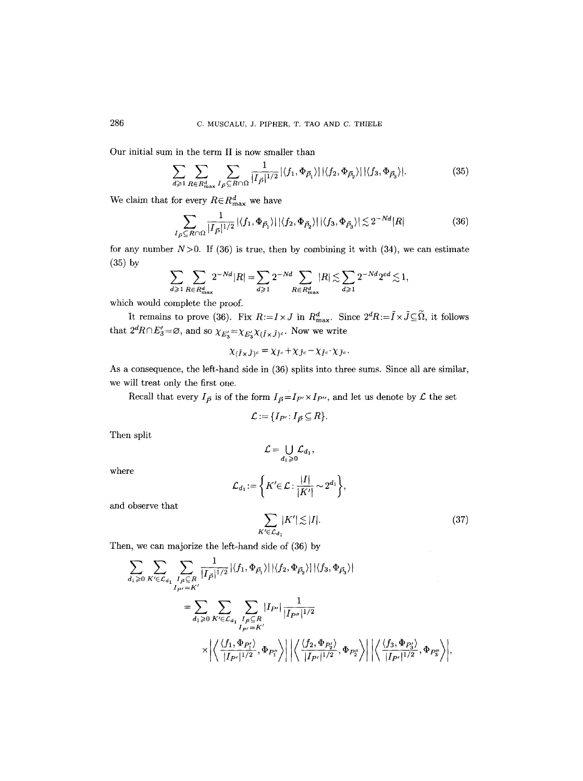Our initial sum in the term II is now smaller than

$$
\sum_{d \geqslant 1} \sum_{R \in R_{\text{max}}^d} \sum_{I_{\vec{P}} \subseteq R \cap \Omega} \frac{1}{|I_{\vec{P}}|^{1/2}} |\langle f_1, \Phi_{\vec{P}_1} \rangle| |\langle f_2, \Phi_{\vec{P}_2} \rangle| |\langle f_3, \Phi_{\vec{P}_3} \rangle|.
$$
 (35)

We claim that for every  $R \in R_{\text{max}}^d$  we have

$$
\sum_{I_{\vec{P}} \subseteq R \cap \Omega} \frac{1}{|I_{\vec{P}}|^{1/2}} |\langle f_1, \Phi_{\vec{P}_1} \rangle| |\langle f_2, \Phi_{\vec{P}_2} \rangle| |\langle f_3, \Phi_{\vec{P}_3} \rangle| \lesssim 2^{-Nd} |R| \tag{36}
$$

for any number  $N>0$ . If (36) is true, then by combining it with (34), we can estimate (35) by

$$
\sum_{d\geqslant 1}\sum_{R\in R_{\text{max}}^d}2^{-Nd}|R|=\sum_{d\geqslant 1}2^{-Nd}\sum_{R\in R_{\text{max}}^d}|R|\lesssim \sum_{d\geqslant 1}2^{-Nd}2^{\varepsilon d}\lesssim 1,
$$

which would complete the proof.

It remains to prove (36). Fix  $R:=I\times J$  in  $R_{\text{max}}^d$ . Since  $2^dR:=\tilde{I}\times \tilde{J}\subseteq \tilde{\Omega}$ , it follows that  $2^d R \cap E'_3 = \emptyset$ , and so  $\chi_{E'_3} = \chi_{E'_3} \chi_{(\tilde{I} \times \tilde{J})^c}$ . Now we write

$$
\chi_{(\tilde{I}\times\tilde{J})^c}=\chi_{\tilde{I}^c}+\chi_{\tilde{J}^c}-\chi_{\tilde{I}^c}\cdot\chi_{\tilde{J}^c}.
$$

As a consequence, the left-hand side in (36) splits into three sums. Since all are similar, we will treat only the first one.

Recall that every  $I_{\vec{P}}$  is of the form  $I_{\vec{P}}{=}I_{P'}{\times}I_{P''},$  and let us denote by  ${\mathcal{L}}$  the set

$$
\mathcal{L}:=\{I_{P'}\colon I_{\vec{P}}\subseteq R\}.
$$

Then split

$$
\mathcal{L}=\bigcup_{d_1\geqslant 0}\mathcal{L}_{d_1},
$$

where

$$
\mathcal{L}_{d_1} := \left\{ K' \in \mathcal{L} : \frac{|I|}{|K'|} \sim 2^{d_1} \right\},\
$$

$$
\sum |K'| \le |I|
$$

and observe that

$$
\sum_{K' \in \mathcal{L}_{d_1}} \lvert K' \rvert \lesssim \lvert I \rvert.
$$

(37)

Then, we can majorize the left-hand side of (36) by

$$
\sum_{d_1 \geq 0} \sum_{K' \in \mathcal{L}_{d_1}} \sum_{\substack{I_{\vec{P}} \subseteq R \\ I_{P'} = K'}} \frac{1}{|I_{\vec{P}}|^{1/2}} |\langle f_1, \Phi_{\vec{P}_1} \rangle| |\langle f_2, \Phi_{\vec{P}_2} \rangle| |\langle f_3, \Phi_{\vec{P}_3} \rangle|
$$
  

$$
= \sum_{d_1 \geq 0} \sum_{K' \in \mathcal{L}_{d_1}} \sum_{\substack{I_{\vec{P}} \subseteq R \\ I_{P'} = K'}} |I_{P'}| \frac{1}{|I_{P''}|^{1/2}}
$$
  

$$
\times \left| \left\langle \frac{\langle f_1, \Phi_{P'_1} \rangle}{|I_{P'}|^{1/2}}, \Phi_{P''_1} \right\rangle \right| \left| \left\langle \frac{\langle f_2, \Phi_{P'_2} \rangle}{|I_{P'}|^{1/2}}, \Phi_{P''_2} \right\rangle \right| \left| \left\langle \frac{\langle f_3, \Phi_{P'_3} \rangle}{|I_{P'}|^{1/2}}, \Phi_{P''_3} \right\rangle \right|
$$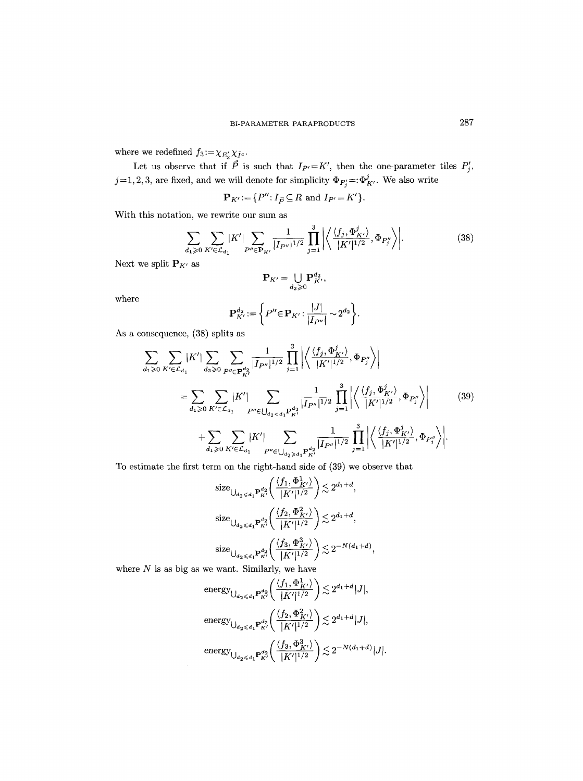where we redefined  $f_3\!:=\!\chi_{E'_3}\chi_{\tilde{I}^c}.$ 

Let us observe that if  $\vec{P}$  is such that  $I_{P'}=K'$ , then the one-parameter tiles  $P'_j$ ,  $j\!=\!1,2,3,$  are fixed, and we will denote for simplicity  $\Phi_{P'_j}\! =:\!\Phi^j_{K'}.$  We also write

$$
\mathbf{P}_{K'}\!:=\!\{P''\!: I_{\vec{P}}\!\subseteq\!R\text{ and }I_{P'}\!=\!K'\}.
$$

With this notation, we rewrite our sum as

$$
\sum_{d_1 \geqslant 0} \sum_{K' \in \mathcal{L}_{d_1}} |K'| \sum_{P'' \in \mathbf{P}_{K'}} \frac{1}{|I_{P''}|^{1/2}} \prod_{j=1}^3 \left| \left\langle \frac{\langle f_j, \Phi^j_{K'} \rangle}{|K'|^{1/2}}, \Phi_{P''_j} \right\rangle \right|.
$$
 (38)

 $\overline{a}$ 

Next we split  $\mathbf{P}_{K'}$  as

$$
\mathbf{P}_{K'}=\bigcup_{d_2\geqslant 0}\mathbf{P}_{K'}^{d_2},
$$

where

$$
\mathbf{P}_{K'}^{d_2} \! := \! \left\{ P'' \!\! \in \! \mathbf{P}_{K'} \! : \! \frac{|J|}{|I_{P''}|} \! \sim \! 2^{d_2} \right\} \! .
$$

As a consequence, (38) splits as

$$
\sum_{d_1 \geqslant 0} \sum_{K' \in \mathcal{L}_{d_1}} |K'| \sum_{d_2 \geqslant 0} \sum_{P'' \in \mathbf{P}_{K'}^{d_2}} \frac{1}{|I_{P''}|^{1/2}} \prod_{j=1}^3 \left| \left\langle \frac{\langle f_j, \Phi'_{K'} \rangle}{|K'|^{1/2}}, \Phi_{P''_j} \right\rangle \right|
$$
\n
$$
= \sum_{d_1 \geqslant 0} \sum_{K' \in \mathcal{L}_{d_1}} |K'| \sum_{P'' \in \bigcup_{d_2 < d_1} P_{K'}^{d_2}} \frac{1}{|I_{P''}|^{1/2}} \prod_{j=1}^3 \left| \left\langle \frac{\langle f_j, \Phi'_{K'} \rangle}{|K'|^{1/2}}, \Phi_{P''_j} \right\rangle \right| \qquad (39)
$$
\n
$$
+ \sum_{d_1 \geqslant 0} \sum_{K' \in \mathcal{L}_{d_1}} |K'| \sum_{P'' \in \bigcup_{d_2 \geqslant d_1} P_{K'}^{d_2}} \frac{1}{|I_{P''}|^{1/2}} \prod_{j=1}^3 \left| \left\langle \frac{\langle f_j, \Phi'_{K'} \rangle}{|K'|^{1/2}}, \Phi_{P''_j} \right\rangle \right|.
$$

To estimate the first term on the right-hand side of (39) we observe that

$$
\begin{aligned} &{\rm size}_{\bigcup_{d_2 \leqslant d_1} {\bf P}_{K'}^{d_2} \!}\! \left( \frac{\langle f_1, \Phi^1_{K'} \rangle}{|K'|^{1/2}} \right) \lesssim 2^{d_1 + d}, \\ &{\rm size}_{\bigcup_{d_2 \leqslant d_1} {\bf P}_{K'}^{d_2} \!}\! \left( \frac{\langle f_2, \Phi^2_{K'} \rangle}{|K'|^{1/2}} \right) \lesssim 2^{d_1 + d}, \\ &{\rm size}_{\bigcup_{d_2 \leqslant d_1} {\bf P}_{K'}^{d_2} \!}\! \left( \frac{\langle f_3, \Phi^3_{K'} \rangle}{|K'|^{1/2}} \right) \lesssim 2^{-N(d_1 + d)}, \end{aligned}
$$

where  $N$  is as big as we want. Similarly, we have

$$
\begin{aligned}\n\text{energy}_{\bigcup_{d_2 \leqslant d_1} P_{K'}^{d_2} \left( \frac{\langle f_1, \Phi_{K'}^1 \rangle}{|K'|^{1/2}} \right) &\lesssim 2^{d_1 + d} |J|, \\
\text{energy}_{\bigcup_{d_2 \leqslant d_1} P_{K'}^{d_2} \left( \frac{\langle f_2, \Phi_{K'}^2 \rangle}{|K'|^{1/2}} \right) &\lesssim 2^{d_1 + d} |J|, \\
\text{energy}_{\bigcup_{d_2 \leqslant d_1} P_{K'}^{d_2} \left( \frac{\langle f_3, \Phi_{K'}^3 \rangle}{|K'|^{1/2}} \right) &\lesssim 2^{-N(d_1 + d)} |J|.\n\end{aligned}
$$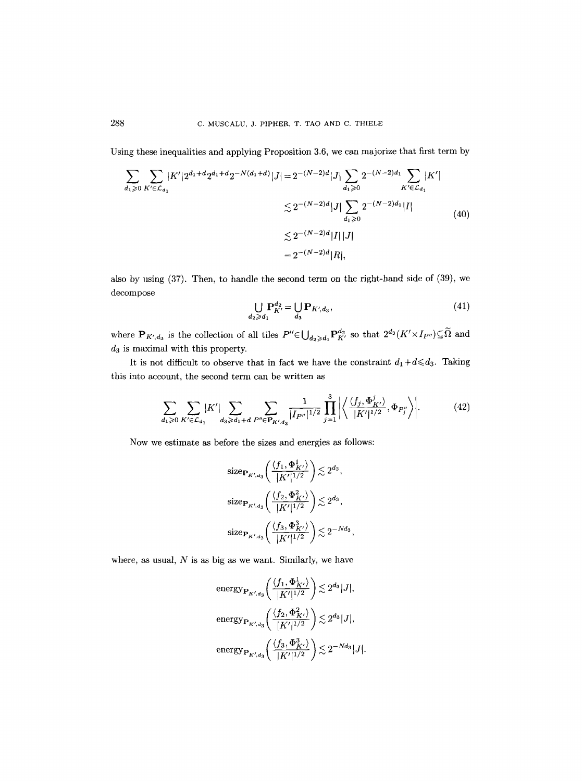Using these inequalities and applying Proposition 3.6, we can majorize that first term by

$$
\sum_{d_1 \geqslant 0} \sum_{K' \in \mathcal{L}_{d_1}} |K'| 2^{d_1 + d} 2^{d_1 + d} 2^{-N(d_1 + d)} |J| = 2^{-(N-2)d} |J| \sum_{d_1 \geqslant 0} 2^{-(N-2)d_1} \sum_{K' \in \mathcal{L}_{d_1}} |K'|
$$
  

$$
\lesssim 2^{-(N-2)d} |J| \sum_{d_1 \geqslant 0} 2^{-(N-2)d_1} |I|
$$
  

$$
\lesssim 2^{-(N-2)d} |I| |J|
$$
  

$$
= 2^{-(N-2)d} |R|,
$$
 (40)

also by using (37). Then, to handle the second term on the right-hand side of (39), we decompose

$$
\bigcup_{d_2 \geqslant d_1} \mathbf{P}_{K'}^{d_2} = \bigcup_{d_3} \mathbf{P}_{K', d_3},\tag{41}
$$

where  $P_{K',d_3}$  is the collection of all tiles  $P'' \in \bigcup_{d_2 \geq d_1} P_{K'}^{d_2}$  so that  $2^{d_3}(K' \times I_{P''}) \subseteq \widetilde{\Omega}$  and  $d_3$  is maximal with this property.

It is not difficult to observe that in fact we have the constraint  $d_1 + d \leq d_3$ . Taking this into account, the second term can be written as

$$
\sum_{d_1 \geqslant 0} \sum_{K' \in \mathcal{L}_{d_1}} |K'| \sum_{d_3 \geqslant d_1 + d} \sum_{P'' \in \mathbf{P}_{K', d_3}} \frac{1}{|I_{P''}|^{1/2}} \prod_{j=1}^3 \left| \left\langle \frac{\langle f_j, \Phi^j_{K'} \rangle}{|K'|^{1/2}}, \Phi_{P''_j} \right\rangle \right|.
$$
 (42)

Now we estimate as before the sizes and energies as follows:

$$
\begin{aligned} &{\rm size}_{{\bf P}_{K',d_3}}\bigg(\frac{\langle f_1, \Phi^1_{K'}\rangle}{|K'|^{1/2}}\bigg) \lesssim 2^{d_3},\\ &{\rm size}_{{\bf P}_{K',d_3}}\bigg(\frac{\langle f_2, \Phi^2_{K'}\rangle}{|K'|^{1/2}}\bigg) \lesssim 2^{d_3},\\ &{\rm size}_{{\bf P}_{K',d_3}}\bigg(\frac{\langle f_3, \Phi^3_{K'}\rangle}{|K'|^{1/2}}\bigg) \lesssim 2^{-Nd_3}, \end{aligned}
$$

where, as usual,  $N$  is as big as we want. Similarly, we have

$$
\begin{aligned} &\text{energy}_{\mathbf{P}_{K',d_3}}\bigg(\frac{\langle f_1, \Phi^1_{K'}\rangle}{|K'|^{1/2}}\bigg) \lesssim 2^{d_3}|J|,\\ &\text{energy}_{\mathbf{P}_{K',d_3}}\bigg(\frac{\langle f_2, \Phi^2_{K'}\rangle}{|K'|^{1/2}}\bigg) \lesssim 2^{d_3}|J|,\\ &\text{energy}_{\mathbf{P}_{K',d_3}}\bigg(\frac{\langle f_3, \Phi^3_{K'}\rangle}{|K'|^{1/2}}\bigg) \lesssim 2^{-Nd_3}|J|. \end{aligned}
$$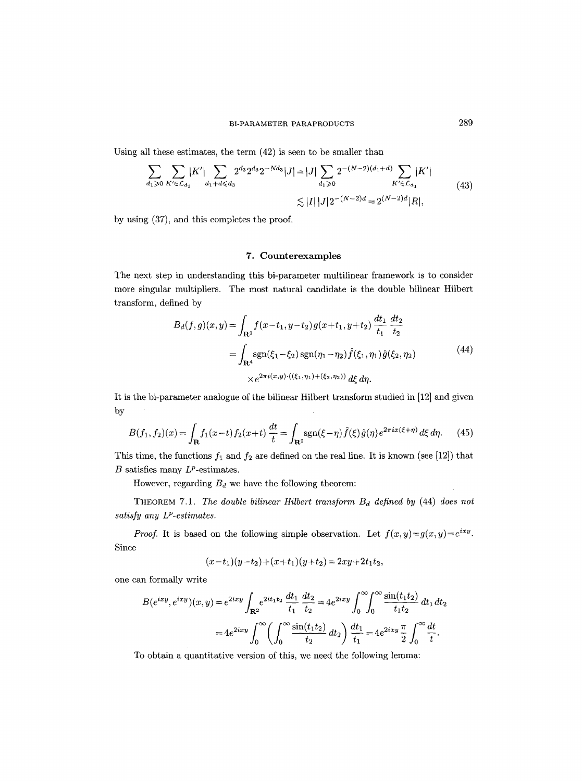Using all these estimates, the term (42) is seen to be smaller than

$$
\sum_{d_1 \geqslant 0} \sum_{K' \in \mathcal{L}_{d_1}} |K'| \sum_{d_1 + d \leqslant d_3} 2^{d_3} 2^{d_3} 2^{-Nd_3} |J| = |J| \sum_{d_1 \geqslant 0} 2^{-(N-2)(d_1 + d)} \sum_{K' \in \mathcal{L}_{d_1}} |K'|
$$
\n
$$
\lesssim |I| |J| 2^{-(N-2)d} = 2^{(N-2)d} |R|,
$$
\n
$$
(43)
$$

by using (37), and this completes the proof.

## 7. Counterexamples

The next step in understanding this bi-parameter multilinear framework is to consider more singular multipliers. The most natural candidate is the double bilinear Hilbert transform, defined by

$$
B_d(f,g)(x,y) = \int_{\mathbf{R}^2} f(x-t_1, y-t_2) g(x+t_1, y+t_2) \frac{dt_1}{t_1} \frac{dt_2}{t_2}
$$
  
= 
$$
\int_{\mathbf{R}^4} \text{sgn}(\xi_1 - \xi_2) \text{sgn}(\eta_1 - \eta_2) \hat{f}(\xi_1, \eta_1) \hat{g}(\xi_2, \eta_2)
$$
  

$$
\times e^{2\pi i(x,y) \cdot ((\xi_1, \eta_1) + (\xi_2, \eta_2))} d\xi d\eta.
$$
 (44)

It is the bi-parameter analogue of the bilinear Hilbert transform studied in [12] and given by

$$
B(f_1, f_2)(x) = \int_{\mathbf{R}} f_1(x - t) f_2(x + t) \frac{dt}{t} = \int_{\mathbf{R}^2} \text{sgn}(\xi - \eta) \hat{f}(\xi) \hat{g}(\eta) e^{2\pi i x (\xi + \eta)} d\xi d\eta. \tag{45}
$$

This time, the functions  $f_1$  and  $f_2$  are defined on the real line. It is known (see [12]) that  $B$  satisfies many  $L^p$ -estimates.

However, regarding  $B_d$  we have the following theorem:

THEOREM 7.1. *The double bilinear Hilbert transform B<sub>d</sub> defined by* (44) *does not satisfy any LP-estimates.* 

*Proof.* It is based on the following simple observation. Let  $f(x,y)=g(x,y)=e^{ixy}$ . Since

$$
(x-t1)(y-t2)+(x+t1)(y+t2) = 2xy+2t1t2,
$$

one can formally write

$$
B(e^{ixy}, e^{ixy})(x, y) = e^{2ixy} \int_{\mathbf{R}^2} e^{2it_1t_2} \frac{dt_1}{t_1} \frac{dt_2}{t_2} = 4e^{2ixy} \int_0^\infty \int_0^\infty \frac{\sin(t_1t_2)}{t_1t_2} dt_1 dt_2
$$

$$
= 4e^{2ixy} \int_0^\infty \left( \int_0^\infty \frac{\sin(t_1t_2)}{t_2} dt_2 \right) \frac{dt_1}{t_1} = 4e^{2ixy} \frac{\pi}{2} \int_0^\infty \frac{dt}{t}.
$$

To obtain a quantitative version of this, we need the following lemma: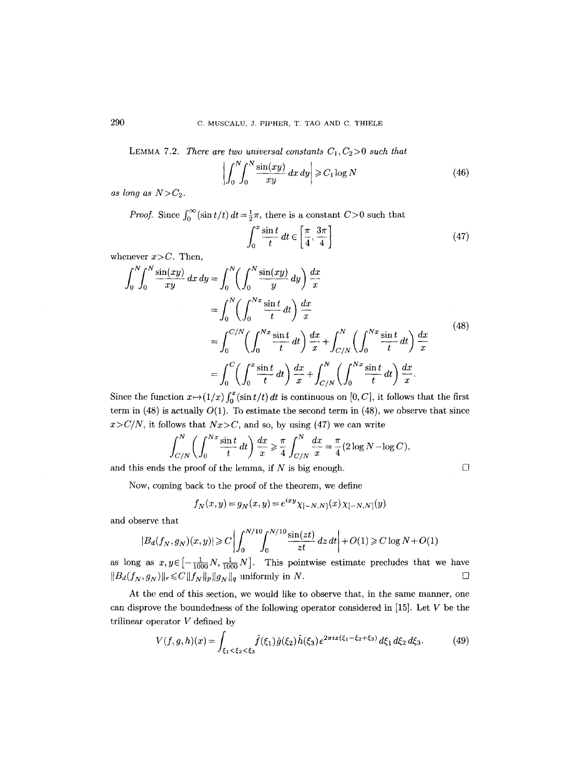LEMMA 7.2. *There are two universal constants*  $C_1, C_2 > 0$  such that

$$
\left| \int_0^N \int_0^N \frac{\sin(xy)}{xy} \, dx \, dy \right| \geqslant C_1 \log N \tag{46}
$$

*as long as*  $N>C_2$ .

*Proof.* Since  $\int_0^\infty (\sin t/t) dt = \frac{1}{2}\pi$ , there is a constant  $C > 0$  such that

$$
\int_0^x \frac{\sin t}{t} \, dt \in \left[ \frac{\pi}{4}, \frac{3\pi}{4} \right] \tag{47}
$$

whenever  $x>C$ . Then,

$$
\int_{0}^{N} \int_{0}^{N} \frac{\sin(xy)}{xy} dx dy = \int_{0}^{N} \left( \int_{0}^{N} \frac{\sin(xy)}{y} dy \right) \frac{dx}{x}
$$
  
\n
$$
= \int_{0}^{N} \left( \int_{0}^{Nx} \frac{\sin t}{t} dt \right) \frac{dx}{x}
$$
  
\n
$$
= \int_{0}^{C/N} \left( \int_{0}^{Nx} \frac{\sin t}{t} dt \right) \frac{dx}{x} + \int_{C/N}^{N} \left( \int_{0}^{Nx} \frac{\sin t}{t} dt \right) \frac{dx}{x}
$$
  
\n
$$
= \int_{0}^{C} \left( \int_{0}^{x} \frac{\sin t}{t} dt \right) \frac{dx}{x} + \int_{C/N}^{N} \left( \int_{0}^{Nx} \frac{\sin t}{t} dt \right) \frac{dx}{x}.
$$
 (48)

Since the function  $x \mapsto (1/x)\int_0^x (\sin t/t) dt$  is continuous on [0, C], it follows that the first term in  $(48)$  is actually  $O(1)$ . To estimate the second term in  $(48)$ , we observe that since  $x > C/N$ , it follows that  $Nx > C$ , and so, by using (47) we can write

$$
\int_{C/N}^{N} \left( \int_{0}^{Nx} \frac{\sin t}{t} \, dt \right) \frac{dx}{x} \ge \frac{\pi}{4} \int_{C/N}^{N} \frac{dx}{x} = \frac{\pi}{4} (2 \log N - \log C),
$$

and this ends the proof of the lemma, if N is big enough.  $\Box$ 

Now, coming back to the proof of the theorem, we define

$$
f_N(x, y) = g_N(x, y) = e^{ixy} \chi_{[-N,N]}(x) \chi_{[-N,N]}(y)
$$

and observe that

$$
|B_d(f_N, g_N)(x, y)| \ge C \left| \int_0^{N/10} \int_0^{N/10} \frac{\sin(zt)}{zt} \, dz \, dt \right| + O(1) \ge C \log N + O(1)
$$

as long as  $x, y \in [-\frac{1}{1000}N, \frac{1}{1000}N]$ . This pointwise estimate precludes that we have  $||B_d(f_N, g_N)||_r \leq C ||f_N||_p ||g_N||_q$  uniformly in N.  $\square$ 

At the end of this section, we would like to observe that, in the same manner, one can disprove the boundedness of the following operator considered in [15]. Let V be the trilinear operator V defined by

$$
V(f,g,h)(x) = \int_{\xi_1 < \xi_2 < \xi_3} \hat{f}(\xi_1) \hat{g}(\xi_2) \hat{h}(\xi_3) e^{2\pi i x (\xi_1 - \xi_2 + \xi_3)} d\xi_1 d\xi_2 d\xi_3. \tag{49}
$$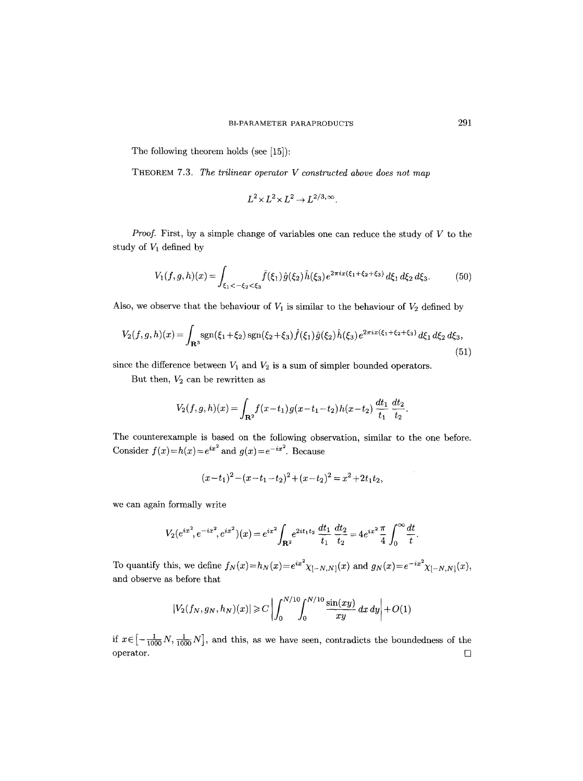The following theorem holds (see [15]):

THEOREM 7.3. *The trilinear operator V constructed above does not map* 

$$
L^2 \times L^2 \times L^2 \to L^{2/3,\infty}.
$$

*Proof.* First, by a simple change of variables one can reduce the study of V to the study of  $V_1$  defined by

$$
V_1(f,g,h)(x) = \int_{\xi_1 < -\xi_2 < \xi_3} \hat{f}(\xi_1) \hat{g}(\xi_2) \hat{h}(\xi_3) e^{2\pi i x (\xi_1 + \xi_2 + \xi_3)} d\xi_1 d\xi_2 d\xi_3.
$$
 (50)

Also, we observe that the behaviour of  $V_1$  is similar to the behaviour of  $V_2$  defined by

$$
V_2(f,g,h)(x) = \int_{\mathbf{R}^3} \operatorname{sgn}(\xi_1 + \xi_2) \operatorname{sgn}(\xi_2 + \xi_3) \hat{f}(\xi_1) \hat{g}(\xi_2) \hat{h}(\xi_3) e^{2\pi i x (\xi_1 + \xi_2 + \xi_3)} d\xi_1 d\xi_2 d\xi_3,
$$
\n(51)

since the difference between  $V_1$  and  $V_2$  is a sum of simpler bounded operators.

But then,  $V_2$  can be rewritten as

$$
V_2(f,g,h)(x) = \int_{\mathbf{R}^2} f(x-t_1) g(x-t_1-t_2) h(x-t_2) \frac{dt_1}{t_1} \frac{dt_2}{t_2}.
$$

The counterexample is based on the following observation, similar to the one before. Consider  $f(x)=h(x)=e^{ix^2}$  and  $g(x)=e^{-ix^2}$ . Because

 $(x-t_1)^2 - (x-t_1-t_2)^2 + (x-t_2)^2 = x^2 + 2t_1t_2,$ 

we can again formally write

$$
V_2(e^{ix^2}, e^{-ix^2}, e^{ix^2})(x) = e^{ix^2} \int_{\mathbf{R}^2} e^{2it_1t_2} \frac{dt_1}{t_1} \frac{dt_2}{t_2} = 4e^{ix^2} \frac{\pi}{4} \int_0^\infty \frac{dt}{t}.
$$

To quantify this, we define  $f_N(x)=h_N(x)=e^{ix^2}\chi_{[-N,N]}(x)$  and  $g_N(x)=e^{-ix^2}\chi_{[-N,N]}(x)$ , and observe as before that

$$
|V_2(f_N, g_N, h_N)(x)| \ge C \left| \int_0^{N/10} \int_0^{N/10} \frac{\sin(xy)}{xy} \, dx \, dy \right| + O(1)
$$

if  $x \in \left[-\frac{1}{1000}N, \frac{1}{1000}N\right]$ , and this, as we have seen, contradicts the boundedness of the  $\Box$  operator.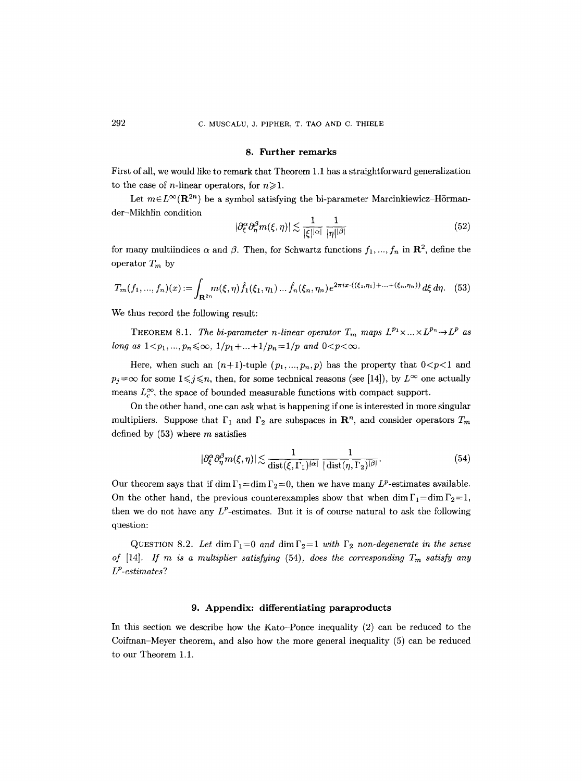#### 8. Further remarks

First of all, we would like to remark that Theorem 1.1 has a straightforward generalization to the case of *n*-linear operators, for  $n \ge 1$ .

Let  $m \in L^{\infty}(\mathbf{R}^{2n})$  be a symbol satisfying the bi-parameter Marcinkiewicz-Hörmander-Mikhlin condition

$$
|\partial_{\xi}^{\alpha} \partial_{\eta}^{\beta} m(\xi, \eta)| \lesssim \frac{1}{|\xi|^{|\alpha|}} \frac{1}{|\eta|^{|\beta|}} \tag{52}
$$

for many multiindices  $\alpha$  and  $\beta$ . Then, for Schwartz functions  $f_1, ..., f_n$  in  $\mathbb{R}^2$ , define the operator  $T_m$  by

$$
T_m(f_1, ..., f_n)(x) := \int_{\mathbf{R}^{2n}} m(\xi, \eta) \hat{f}_1(\xi_1, \eta_1) ... \hat{f}_n(\xi_n, \eta_n) e^{2\pi i x \cdot ((\xi_1, \eta_1) + ... + (\xi_n, \eta_n))} d\xi d\eta.
$$
 (53)

We thus record the following result:

THEOREM 8.1. *The bi-parameter n-linear operator*  $T_m$  maps  $L^{p_1} \times ... \times L^{p_n} \rightarrow L^p$  as *long as*  $1 < p_1, ..., p_n \leq \infty$ ,  $1/p_1 + ... + 1/p_n = 1/p$  *and*  $0 < p < \infty$ .

Here, when such an  $(n+1)$ -tuple  $(p_1,...,p_n,p)$  has the property that  $0 < p < 1$  and  $p_j = \infty$  for some  $1 \leq j \leq n$ , then, for some technical reasons (see [14]), by  $L^{\infty}$  one actually means  $L_c^{\infty}$ , the space of bounded measurable functions with compact support.

On the other hand, one can ask what is happening if one is interested in more singular multipliers. Suppose that  $\Gamma_1$  and  $\Gamma_2$  are subspaces in  $\mathbb{R}^n$ , and consider operators  $T_m$ defined by  $(53)$  where m satisfies

$$
|\partial_{\xi}^{\alpha}\partial_{\eta}^{\beta}m(\xi,\eta)| \lesssim \frac{1}{\text{dist}(\xi,\Gamma_1)^{|\alpha|}} \frac{1}{|\text{dist}(\eta,\Gamma_2)|^{\beta|}}.\tag{54}
$$

Our theorem says that if dim  $\Gamma_1 = \dim \Gamma_2 = 0$ , then we have many  $L^p$ -estimates available. On the other hand, the previous counterexamples show that when dim  $\Gamma_1=\dim\Gamma_2=1$ , then we do not have any  $L^p$ -estimates. But it is of course natural to ask the following question:

QUESTION 8.2. Let  $\dim \Gamma_1=0$  and  $\dim \Gamma_2=1$  with  $\Gamma_2$  non-degenerate in the sense *of* [14]. *If m is a multiplier satisfying* (54), *does the corresponding*  $T_m$  *satisfy any LP-estimates?* 

#### 9. Appendix: differentiating paraproducts

In this section we describe how the Kato-Ponce inequality (2) can be reduced to the Coifman-Meyer theorem, and also how the more general inequality (5) can be reduced to our Theorem 1.1.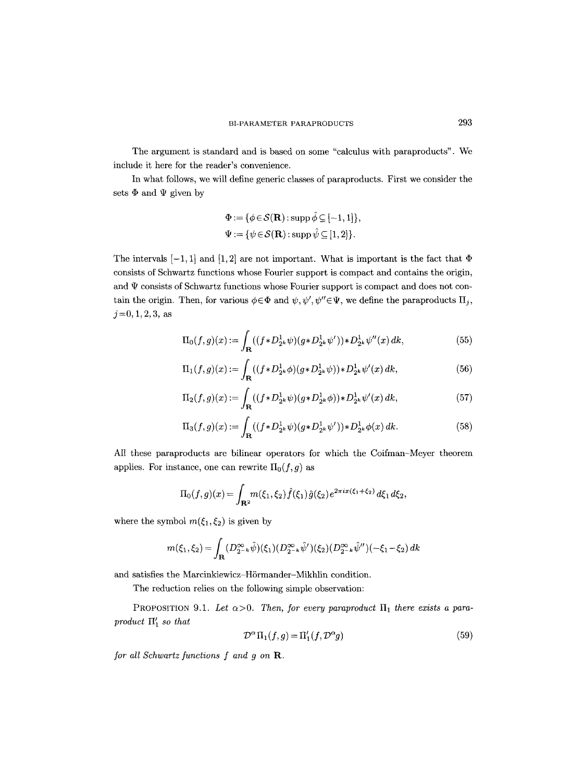The argument is standard and is based on some "calculus with paraproducts". We include it here for the reader's convenience.

In what follows, we will define generic classes of paraproducts. First we consider the sets  $\Phi$  and  $\Psi$  given by

$$
\Phi := \{ \phi \in \mathcal{S}(\mathbf{R}) : \operatorname{supp} \hat{\phi} \subseteq [-1, 1] \},
$$
  

$$
\Psi := \{ \psi \in \mathcal{S}(\mathbf{R}) : \operatorname{supp} \hat{\psi} \subseteq [1, 2] \}.
$$

The intervals  $[-1, 1]$  and  $[1, 2]$  are not important. What is important is the fact that  $\Phi$ consists of Schwartz functions whose Fourier support is compact and contains the origin, and  $\Psi$  consists of Schwartz functions whose Fourier support is compact and does not contain the origin. Then, for various  $\phi \in \Phi$  and  $\psi, \psi', \psi'' \in \Psi$ , we define the paraproducts  $\Pi_i$ ,  $j = 0, 1, 2, 3$ , as

$$
\Pi_0(f,g)(x) := \int_{\mathbf{R}} ((f \ast D_{2^k}^1 \psi)(g \ast D_{2^k}^1 \psi')) \ast D_{2^k}^1 \psi''(x) \, dk,\tag{55}
$$

$$
\Pi_1(f,g)(x) := \int_{\mathbf{R}} ((f \ast D_{2^k}^1 \phi)(g \ast D_{2^k}^1 \psi)) \ast D_{2^k}^1 \psi'(x) \, dk,\tag{56}
$$

$$
\Pi_2(f,g)(x) := \int_{\mathbf{R}} ((f \ast D_{2^k}^1 \psi)(g \ast D_{2^k}^1 \phi)) \ast D_{2^k}^1 \psi'(x) \, dk,\tag{57}
$$

$$
\Pi_3(f,g)(x) := \int_{\mathbf{R}} ((f \ast D_{2^k}^1 \psi)(g \ast D_{2^k}^1 \psi')) \ast D_{2^k}^1 \phi(x) \, dk. \tag{58}
$$

All these paraproducts are bilinear operators for which the Coifman-Meyer theorem applies. For instance, one can rewrite  $\Pi_0(f, g)$  as

$$
\Pi_0(f,g)(x) = \int_{\mathbf{R}^2} m(\xi_1, \xi_2) \hat{f}(\xi_1) \hat{g}(\xi_2) e^{2\pi i x (\xi_1 + \xi_2)} d\xi_1 d\xi_2,
$$

where the symbol  $m(\xi_1, \xi_2)$  is given by

$$
m(\xi_1, \xi_2) = \int_{\mathbf{R}} (D_{2^{-k}}^{\infty} \hat{\psi})(\xi_1) (D_{2^{-k}}^{\infty} \hat{\psi}')(\xi_2) (D_{2^{-k}}^{\infty} \hat{\psi}'')(-\xi_1 - \xi_2) dk
$$

and satisfies the Marcinkiewicz-Hörmander-Mikhlin condition.

The reduction relies on the following simple observation:

PROPOSITION 9.1. Let  $\alpha > 0$ . Then, for every paraproduct  $\Pi_1$  there exists a para*product H~ so that* 

$$
\mathcal{D}^{\alpha}\Pi_1(f,g) = \Pi'_1(f,\mathcal{D}^{\alpha}g) \tag{59}
$$

*for all Schwartz functions f and g on R.*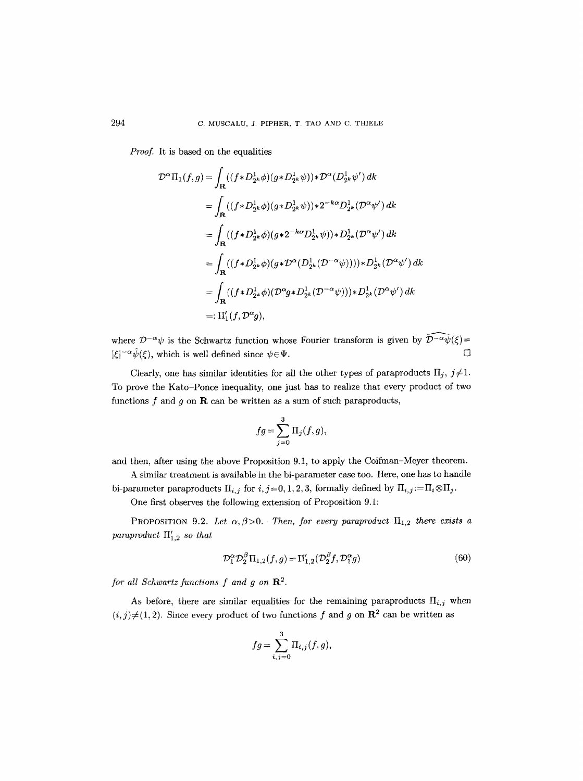*Proof.* It is based on the equalities

$$
\mathcal{D}^{\alpha}\Pi_{1}(f,g) = \int_{\mathbf{R}} ((f \ast D_{2^{k}}^{1} \phi)(g \ast D_{2^{k}}^{1} \psi)) \ast \mathcal{D}^{\alpha}(D_{2^{k}}^{1} \psi') dk
$$
  
\n
$$
= \int_{\mathbf{R}} ((f \ast D_{2^{k}}^{1} \phi)(g \ast D_{2^{k}}^{1} \psi)) \ast 2^{-k\alpha} D_{2^{k}}^{1} (\mathcal{D}^{\alpha} \psi') dk
$$
  
\n
$$
= \int_{\mathbf{R}} ((f \ast D_{2^{k}}^{1} \phi)(g \ast 2^{-k\alpha} D_{2^{k}}^{1} \psi)) \ast D_{2^{k}}^{1} (\mathcal{D}^{\alpha} \psi') dk
$$
  
\n
$$
= \int_{\mathbf{R}} ((f \ast D_{2^{k}}^{1} \phi)(g \ast \mathcal{D}^{\alpha}(D_{2^{k}}^{1} (\mathcal{D}^{-\alpha} \psi)))) \ast D_{2^{k}}^{1} (\mathcal{D}^{\alpha} \psi') dk
$$
  
\n
$$
= \int_{\mathbf{R}} ((f \ast D_{2^{k}}^{1} \phi)(\mathcal{D}^{\alpha} g \ast D_{2^{k}}^{1} (\mathcal{D}^{-\alpha} \psi))) \ast D_{2^{k}}^{1} (\mathcal{D}^{\alpha} \psi') dk
$$
  
\n
$$
=:\Pi'_{1}(f, \mathcal{D}^{\alpha} g),
$$

where  $\mathcal{D}^{-\alpha}\psi$  is the Schwartz function whose Fourier transform is given by  $\widehat{\mathcal{D}^{-\alpha}\psi}(\xi)$ =  $|\xi|^{-\alpha} \hat{\psi}(\xi)$ , which is well defined since  $\psi \in \Psi$ .  $\Box$ 

Clearly, one has similar identities for all the other types of paraproducts  $\Pi_i$ ,  $j\neq 1$ . To prove the Kato-Ponce inequality, one just has to realize that every product of two functions f and g on  **can be written as a sum of such paraproducts,** 

$$
fg = \sum_{j=0}^{3} \Pi_j(f,g),
$$

and then, after using the above Proposition 9.1, to apply the Coifman-Meyer theorem.

A similar treatment is available in the bi-parameter case too. Here, one has to handle bi-parameter paraproducts  $\Pi_{i,j}$  for  $i, j=0, 1, 2, 3$ , formally defined by  $\Pi_{i,j} := \Pi_i \otimes \Pi_j$ .

One first observes the following extension of Proposition 9.1:

PROPOSITION 9.2. Let  $\alpha$ ,  $\beta$ >0. Then, for every paraproduct  $\Pi_{1,2}$  there exists a *paraproduct*  $\prod_{1,2}^{\prime}$  so that

$$
\mathcal{D}_1^{\alpha} \mathcal{D}_2^{\beta} \Pi_{1,2}(f,g) = \Pi'_{1,2} (\mathcal{D}_2^{\beta} f, \mathcal{D}_1^{\alpha} g) \tag{60}
$$

*for all Schwartz functions f and g on*  $\mathbb{R}^2$ .

As before, there are similar equalities for the remaining paraproducts  $\Pi_{i,j}$  when  $(i, j) \neq (1, 2)$ . Since every product of two functions f and g on  $\mathbb{R}^2$  can be written as

$$
fg = \sum_{i,j=0}^{3} \Pi_{i,j}(f,g),
$$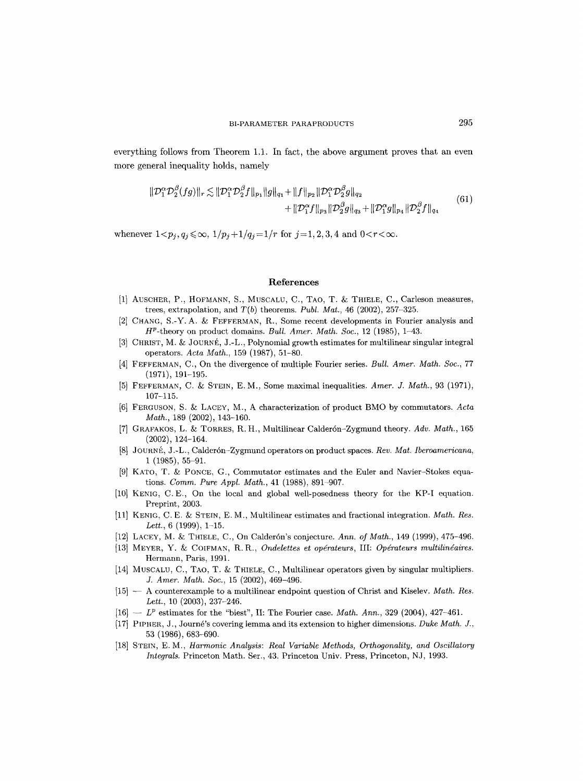everything follows from Theorem 1.1. In fact, the above argument proves that an even more general inequality holds, namely

$$
\|\mathcal{D}_{1}^{\alpha}\mathcal{D}_{2}^{\beta}(fg)\|_{r} \lesssim \|\mathcal{D}_{1}^{\alpha}\mathcal{D}_{2}^{\beta}f\|_{p_{1}}\|g\|_{q_{1}} + \|f\|_{p_{2}}\|\mathcal{D}_{1}^{\alpha}\mathcal{D}_{2}^{\beta}g\|_{q_{2}} + \|\mathcal{D}_{1}^{\alpha}g\|_{p_{4}}\|\mathcal{D}_{2}^{\beta}f\|_{q_{4}} \tag{61}
$$

$$
+ \|\mathcal{D}_{1}^{\alpha}f\|_{p_{3}}\|\mathcal{D}_{2}^{\beta}g\|_{q_{3}} + \|\mathcal{D}_{1}^{\alpha}g\|_{p_{4}}\|\mathcal{D}_{2}^{\beta}f\|_{q_{4}}
$$

whenever  $1 < p_j, q_j \le \infty$ ,  $1/p_j + 1/q_j = 1/r$  for  $j = 1, 2, 3, 4$  and  $0 < r < \infty$ .

#### **References**

- [1] AUSCHER, P., HOFMANN, S., MUSCALU, C., TAO, T. & THIELE, C., Carleson measures, trees, extrapolation, and *T(b)* theorems. *Publ. Mat.,* 46 (2002), 257-325.
- [2] CHANG, S.-Y. A. & FEFFERMAN, R., Some recent developments in Fourier analysis and HP-theory on product domains. *Bull. Amer. Math. Soc.,* 12 (1985), 1-43.
- [3] CHRIST, M. & JOURNÉ, J.-L., Polynomial growth estimates for multilinear singular integral operators. *Acta Math.,* 159 (1987), 51-80.
- [4] FEFFERMAN, C., On the divergence of multiple Fourier series. *Bull. Amer. Math. Soc.,* 77 (1971), 191-195.
- [5] FEFFERMAN, C. & STEIN, E. M., Some maximal inequalities. *Amer. J. Math.*, 93 (1971), 107-115.
- [6] FERGUSON, S. & LACEY, M., A characterization of product BMO by commutators. *Acta Math.,* 189 (2002), 143-160.
- [7] GRAFAKOS, L. & TORRES, R. H., Multilinear Calderón-Zygmund theory. Adv. Math., 165 (2002), 124-164.
- [8] JOURNÉ, J.-L., Calderón-Zygmund operators on product spaces. *Rev. Mat. Iberoamericana*, 1 (1985), 55-91.
- [9] KATO, T. & PONCE, G., Commutator estimates and the Euler and Navier-Stokes equations. *Comm. Pure Appl. Math.,* 41 (1988), 891-907.
- [10] KENIG, C.E., On the local and global well-posedness theory for the KP-I equation. Preprint, 2003.
- [11] KENIG, C.E. & STEIN, E. M., Multilinear estimates and fractional integration. *Math. Res. Lett.,* 6 (1999), 1-15.
- [12] LACEY, M. &: THIELE, C., On Calder6n's conjecture. *Ann. of Math.,* 149 (1999), 475-496.
- [13] MEYER, Y. & COIFMAN, R.R., *Ondelettes et opérateurs*, *III: Opérateurs multilinéaires.* Hermann, Paris, 1991.
- [14] MUSCALU, C., TAO, T. & THIELE, C., Multilinear operators given by singular multipliers. *J. Amer. Math. Soe.,* 15 (2002), 469-496.
- [15] -- A counterexample to a multilinear endpoint question of Christ and Kiselev. *Math. Res. Lett.,* 10 (2003), 237-246.
- $[16] L^p$  estimates for the "biest", II: The Fourier case. *Math. Ann.*, 329 (2004), 427-461.
- [17] PIPHER, J., Journé's covering lemma and its extension to higher dimensions. *Duke Math. J.*, 53 (1986), 683-690.
- [18] STEIN, E.M., *Harmonic Analysis: Real Variable Methods, Orthogonality, and Oscillatory Integrals. Princeton Math. Ser., 43. Princeton Univ. Press, Princeton, NJ, 1993.*